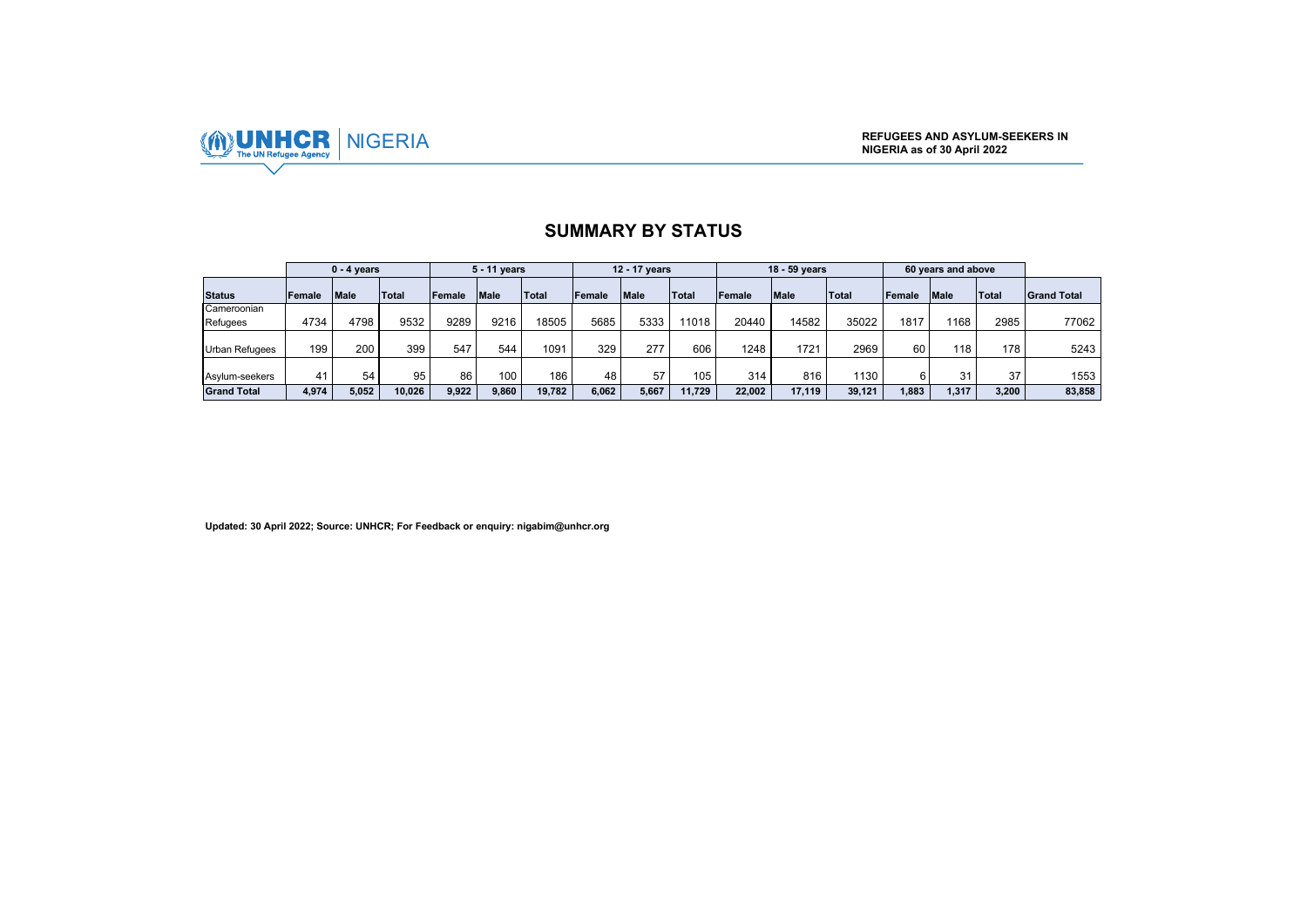

|                         |        | $0 - 4$ years |        |        | 5 - 11 years |        |        | 12 - 17 years |        |        | 18 - 59 years |        |        | 60 years and above |              |                    |
|-------------------------|--------|---------------|--------|--------|--------------|--------|--------|---------------|--------|--------|---------------|--------|--------|--------------------|--------------|--------------------|
| <b>Status</b>           | Female | <b>Male</b>   | Total  | Female | <b>Male</b>  | Total  | Female | <b>Male</b>   | Total  | Female | <b>Male</b>   | Total  | Female | <b>Male</b>        | <b>Total</b> | <b>Grand Total</b> |
| Cameroonian<br>Refugees | 4734   | 4798          | 9532   | 9289   | 9216         | 18505  | 5685   | 5333          | 11018  | 20440  | 14582         | 35022  | 1817   | 1168               | 2985         | 77062              |
|                         |        |               |        |        |              |        |        |               |        |        |               |        |        |                    |              |                    |
| <b>Urban Refugees</b>   | 199    | 200           | 399    | 547    | 544          | 1091   | 329    | 277           | 606    | 1248   | 1721          | 2969   | 60     | 118                | 178          | 5243               |
| Asylum-seekers          | 41     | 54            | 95     | 86     | 100.         | 186    | 48     | 57            | 105    | 314    | 816           | 1130   |        | 31                 | 37           | 1553               |
| <b>Grand Total</b>      | 4,974  | 5.052         | 10.026 | 9.922  | 9.860        | 19.782 | 6.062  | 5.667         | 11.729 | 22.002 | 17.119        | 39.121 | 1.883  | 1.317              | 3.200        | 83,858             |

### **SUMMARY BY STATUS**

**Updated: 30 April 2022; Source: UNHCR; For Feedback or enquiry: nigabim@unhcr.org**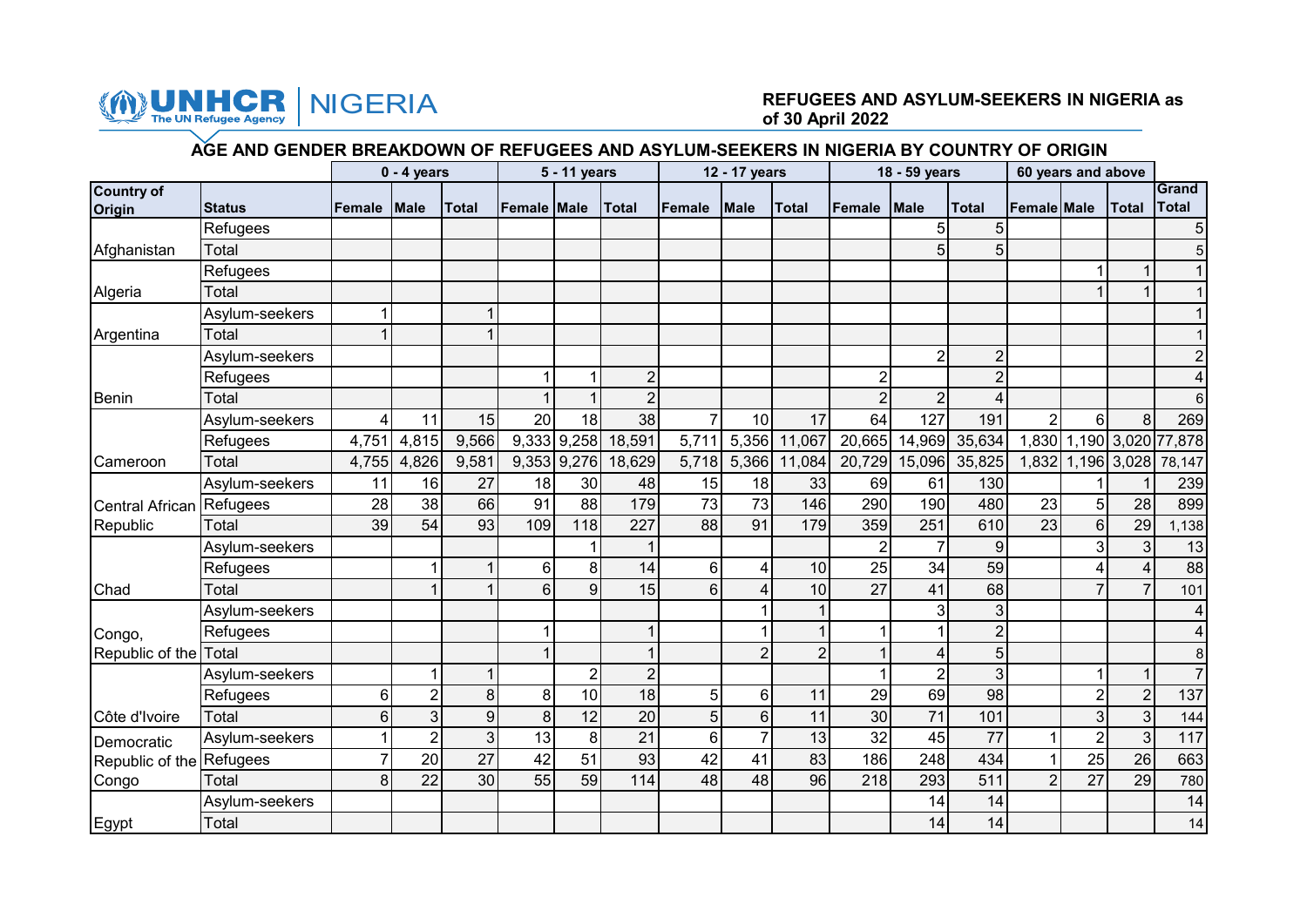

# NIGERIA **REFUGEES AND ASYLUM-SEEKERS IN NIGERIA as of 30 April 2022**

## **AGE AND GENDER BREAKDOWN OF REFUGEES AND ASYLUM-SEEKERS IN NIGERIA BY COUNTRY OF ORIGIN**

|                             |                |                  | $0 - 4$ years  |              |                    | 5 - 11 years   |                |                | 12 - 17 years  |                |                | 18 - 59 years  |                |                    | 60 years and above |                   |                          |
|-----------------------------|----------------|------------------|----------------|--------------|--------------------|----------------|----------------|----------------|----------------|----------------|----------------|----------------|----------------|--------------------|--------------------|-------------------|--------------------------|
| <b>Country of</b><br>Origin | <b>Status</b>  | Female           | <b>Male</b>    | <b>Total</b> | <b>Female Male</b> |                | <b>Total</b>   | <b>Female</b>  | <b>Male</b>    | <b>Total</b>   | Female         | Male           | <b>Total</b>   | <b>Female Male</b> |                    | <b>Total</b>      | Grand<br>Total           |
|                             | Refugees       |                  |                |              |                    |                |                |                |                |                |                | 5              | 5              |                    |                    |                   | $\sqrt{5}$               |
| Afghanistan                 | Total          |                  |                |              |                    |                |                |                |                |                |                | 5              | 5              |                    |                    |                   | 5                        |
|                             | Refugees       |                  |                |              |                    |                |                |                |                |                |                |                |                |                    |                    |                   |                          |
| Algeria                     | Total          |                  |                |              |                    |                |                |                |                |                |                |                |                |                    |                    |                   | $\mathbf{1}$             |
|                             | Asylum-seekers |                  |                |              |                    |                |                |                |                |                |                |                |                |                    |                    |                   | $\overline{1}$           |
| Argentina                   | Total          |                  |                |              |                    |                |                |                |                |                |                |                |                |                    |                    |                   |                          |
|                             | Asylum-seekers |                  |                |              |                    |                |                |                |                |                |                | $\overline{2}$ | $\overline{2}$ |                    |                    |                   | $\boldsymbol{2}$         |
|                             | Refugees       |                  |                |              |                    |                | $\overline{2}$ |                |                |                | $\overline{2}$ |                | $\overline{2}$ |                    |                    |                   | $\overline{4}$           |
| Benin                       | Total          |                  |                |              |                    |                | $\overline{2}$ |                |                |                | $\overline{2}$ | 2              | 4              |                    |                    |                   | $6\phantom{.}$           |
|                             | Asylum-seekers | 4                | 11             | 15           | 20                 | 18             | 38             | $\overline{7}$ | 10             | 17             | 64             | 127            | 191            | $\overline{2}$     | $6\phantom{1}$     | 8                 | 269                      |
|                             | Refugees       | 4,751            | 4,815          | 9,566        |                    | 9,333 9,258    | 18,591         | 5,711          |                | 5,356 11,067   | 20,665         | 14,969         | 35,634         |                    |                    |                   | 1,830 1,190 3,020 77,878 |
| Cameroon                    | Total          | 4,755            | 4,826          | 9,581        |                    | 9,353 9,276    | 18,629         | 5,718          | 5,366          | 11,084         |                | 20,729 15,096  | 35,825         |                    |                    | 1,832 1,196 3,028 | 78,147                   |
|                             | Asylum-seekers | 11               | 16             | 27           | 18                 | 30             | 48             | 15             | 18             | 33             | 69             | 61             | 130            |                    |                    |                   | 239                      |
| Central African Refugees    |                | 28               | 38             | 66           | 91                 | 88             | 179            | 73             | 73             | 146            | 290            | 190            | 480            | 23                 | 5                  | 28                | 899                      |
| Republic                    | Total          | 39               | 54             | 93           | 109                | 118            | 227            | 88             | 91             | 179            | 359            | 251            | 610            | 23                 | 6                  | 29                | 1,138                    |
|                             | Asylum-seekers |                  |                |              |                    |                |                |                |                |                | $\overline{2}$ | 7              | 9              |                    | 3                  | 3                 | 13                       |
|                             | Refugees       |                  |                |              | 6                  | 8              | 14             | 6 <sup>1</sup> | 4              | 10             | 25             | 34             | 59             |                    |                    |                   | 88                       |
| Chad                        | Total          |                  |                |              | $6\phantom{1}6$    | 9              | 15             | 6 <sup>1</sup> | Δ              | 10             | 27             | 41             | 68             |                    | 7                  |                   | 101                      |
|                             | Asylum-seekers |                  |                |              |                    |                |                |                |                |                |                | 3              | 3              |                    |                    |                   | $\overline{4}$           |
| Congo,                      | Refugees       |                  |                |              |                    |                |                |                |                |                |                |                | $\overline{2}$ |                    |                    |                   | $\overline{\mathbf{4}}$  |
| Republic of the Total       |                |                  |                |              |                    |                |                |                | $\overline{2}$ | $\overline{2}$ |                | 4              | 5              |                    |                    |                   | $\bf 8$                  |
|                             | Asylum-seekers |                  |                |              |                    | $\overline{2}$ | $\overline{2}$ |                |                |                |                | $\overline{2}$ | 3              |                    |                    |                   | $\overline{7}$           |
|                             | Refugees       | 6                | $\overline{2}$ | 8            | 8                  | 10             | 18             | 5 <sup>1</sup> | 6              | 11             | 29             | 69             | 98             |                    | $\overline{2}$     | $\overline{2}$    | 137                      |
| Côte d'Ivoire               | Total          | $6 \overline{6}$ | 3              | 9            | 8                  | 12             | 20             | 5 <sup>1</sup> | 6              | 11             | 30             | 71             | 101            |                    | 3                  | 3                 | 144                      |
| Democratic                  | Asylum-seekers |                  | $\overline{2}$ | 3            | 13                 | 8              | 21             | 6 <sup>1</sup> | $\overline{7}$ | 13             | 32             | 45             | 77             | 1                  | $\overline{2}$     | $\overline{3}$    | 117                      |
| Republic of the Refugees    |                |                  | 20             | 27           | 42                 | 51             | 93             | 42             | 41             | 83             | 186            | 248            | 434            |                    | 25                 | 26                | 663                      |
| Congo                       | Total          | 8                | 22             | 30           | 55                 | 59             | 114            | 48             | 48             | 96             | 218            | 293            | 511            | $\overline{2}$     | 27                 | 29                | 780                      |
|                             | Asylum-seekers |                  |                |              |                    |                |                |                |                |                |                | 14             | 14             |                    |                    |                   | 14                       |
| Egypt                       | Total          |                  |                |              |                    |                |                |                |                |                |                | 14             | 14             |                    |                    |                   | 14                       |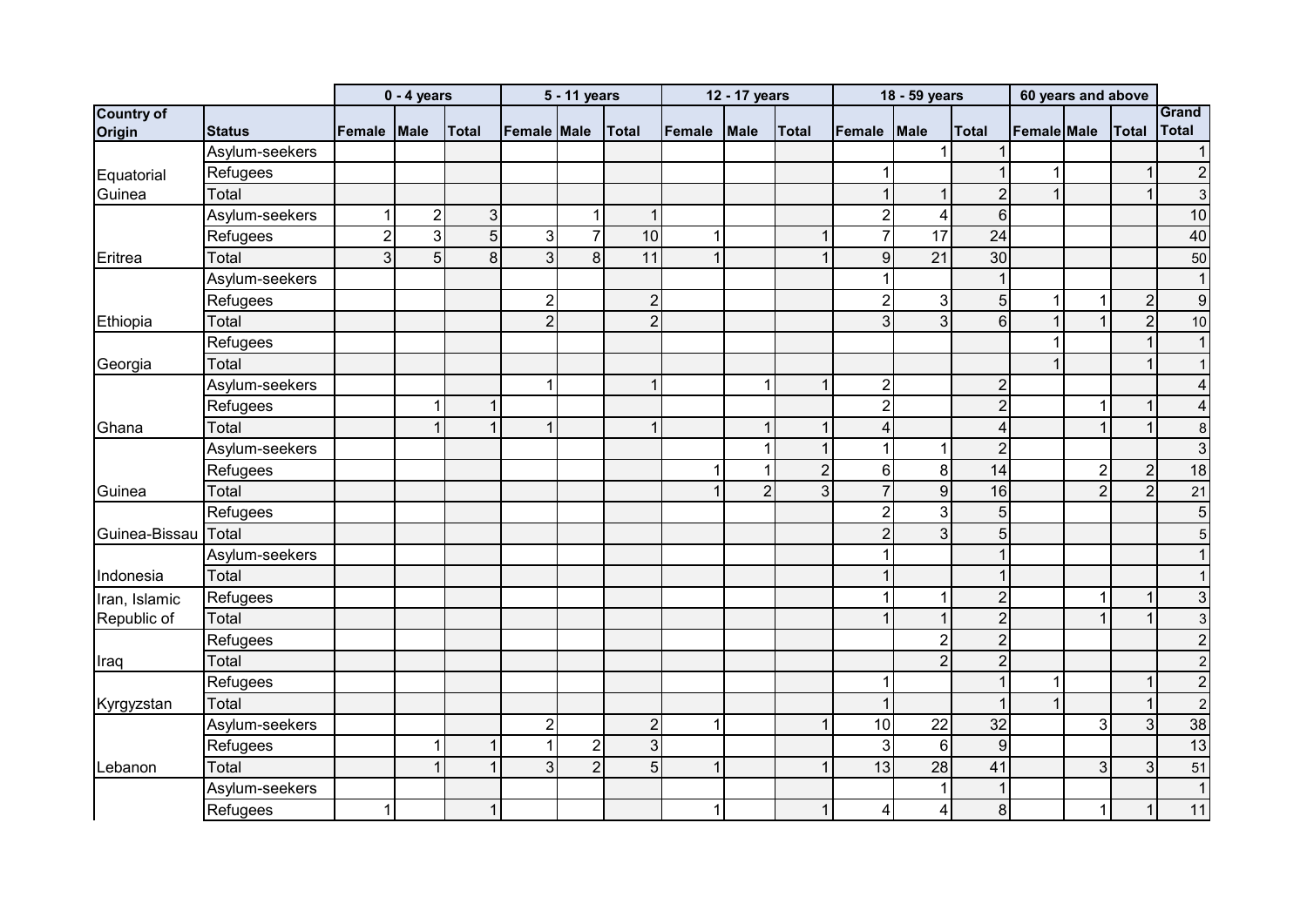|                   |                |        | $0 - 4$ years  |                |                | 5 - 11 years   |                |                | 12 - 17 years  |                |                  | 18 - 59 years  |                  | 60 years and above |                |                          |                 |
|-------------------|----------------|--------|----------------|----------------|----------------|----------------|----------------|----------------|----------------|----------------|------------------|----------------|------------------|--------------------|----------------|--------------------------|-----------------|
| <b>Country of</b> |                |        |                |                |                |                |                |                |                |                |                  |                |                  |                    |                |                          | Grand           |
| Origin            | <b>Status</b>  | Female | Male           | <b>Total</b>   | Female Male    |                | <b>Total</b>   | Female         | <b>Male</b>    | <b>Total</b>   | Female           | <b>Male</b>    | <b>Total</b>     | <b>Female</b> Male |                | <b>Total</b>             | Total           |
|                   | Asylum-seekers |        |                |                |                |                |                |                |                |                |                  |                |                  |                    |                |                          | $\vert$ 1       |
| Equatorial        | Refugees       |        |                |                |                |                |                |                |                |                | $\mathbf 1$      |                |                  | 1                  |                | $\overline{\phantom{a}}$ | $\overline{2}$  |
| Guinea            | Total          |        |                |                |                |                |                |                |                |                | $\mathbf{1}$     |                | $\overline{2}$   | $\overline{1}$     |                |                          | $\mathbf{3}$    |
|                   | Asylum-seekers |        | $\overline{2}$ | 3 <sup>1</sup> |                |                | 1              |                |                |                | $\overline{2}$   | 4              | 6                |                    |                |                          | 10              |
|                   | Refugees       | 2      | $\overline{3}$ | 5 <sup>1</sup> | 3              |                | 10             | í              |                | 1              | $\overline{7}$   | 17             | 24               |                    |                |                          | 40              |
| Eritrea           | Total          | 3      | 5              | $\mathbf{8}$   | $\overline{3}$ | 8              | 11             | $\overline{1}$ |                | 1              | 9                | 21             | 30               |                    |                |                          | 50              |
|                   | Asylum-seekers |        |                |                |                |                |                |                |                |                | 1                |                |                  |                    |                |                          | $\vert$ 1       |
|                   | Refugees       |        |                |                | $\overline{2}$ |                | $\overline{2}$ |                |                |                | $\overline{2}$   | 3              | 5                | 1                  |                | $\overline{2}$           | 9               |
| Ethiopia          | Total          |        |                |                | $\overline{2}$ |                | $\overline{2}$ |                |                |                | 3                | $\overline{3}$ | $6 \overline{6}$ | 1                  |                | $\overline{2}$           | 10              |
|                   | Refugees       |        |                |                |                |                |                |                |                |                |                  |                |                  |                    |                |                          | $\vert$         |
| Georgia           | Total          |        |                |                |                |                |                |                |                |                |                  |                |                  |                    |                |                          | 1               |
|                   | Asylum-seekers |        |                |                | 1              |                | 1              |                |                | 1              | $\boldsymbol{2}$ |                | $\overline{2}$   |                    |                |                          | $\vert 4 \vert$ |
|                   | Refugees       |        | 1              |                |                |                |                |                |                |                | $\overline{2}$   |                | $\overline{2}$   |                    |                |                          | $\vert 4 \vert$ |
| Ghana             | Total          |        |                |                | $\mathbf{1}$   |                | 1              |                |                | 1              | 4                |                | 4                |                    | $\overline{1}$ | $\overline{\phantom{a}}$ | $\bf{8}$        |
|                   | Asylum-seekers |        |                |                |                |                |                |                |                | 1              | $\mathbf 1$      |                | $\overline{2}$   |                    |                |                          | $\mathbf{3}$    |
|                   | Refugees       |        |                |                |                |                |                |                |                | $\overline{2}$ | 6                | 8              | 14               |                    | $\overline{2}$ | $\overline{2}$           | 18              |
| Guinea            | Total          |        |                |                |                |                |                |                | $\overline{2}$ | $\mathfrak{S}$ | $\overline{7}$   | $\overline{9}$ | 16               |                    | $\overline{2}$ | $\overline{2}$           | 21              |
|                   | Refugees       |        |                |                |                |                |                |                |                |                | $\overline{2}$   | 3              | 5                |                    |                |                          | $5\overline{)}$ |
| Guinea-Bissau     | Total          |        |                |                |                |                |                |                |                |                | $\overline{2}$   | $\overline{3}$ | 5                |                    |                |                          | $5\overline{)}$ |
|                   | Asylum-seekers |        |                |                |                |                |                |                |                |                |                  |                |                  |                    |                |                          | 1               |
| Indonesia         | Total          |        |                |                |                |                |                |                |                |                |                  |                |                  |                    |                |                          | $\vert$ 1       |
| Iran, Islamic     | Refugees       |        |                |                |                |                |                |                |                |                |                  |                | $\overline{2}$   |                    |                |                          | $\mathbf{3}$    |
| Republic of       | Total          |        |                |                |                |                |                |                |                |                |                  |                | $\overline{2}$   |                    |                |                          | $\mathbf{3}$    |
|                   | Refugees       |        |                |                |                |                |                |                |                |                |                  | $\overline{2}$ | $\overline{2}$   |                    |                |                          | $\mathbf{2}$    |
| Iraq              | Total          |        |                |                |                |                |                |                |                |                |                  | $\overline{2}$ | $\overline{2}$   |                    |                |                          | $\mathbf{2}$    |
|                   | Refugees       |        |                |                |                |                |                |                |                |                | 1                |                |                  | 1                  |                |                          | $\overline{2}$  |
| Kyrgyzstan        | Total          |        |                |                |                |                |                |                |                |                |                  |                |                  |                    |                |                          | $\overline{c}$  |
|                   | Asylum-seekers |        |                |                | $\overline{c}$ |                | $\overline{2}$ | 1              |                | 1              | 10               | 22             | 32               |                    | 3              | 3                        | 38              |
|                   | Refugees       |        | 1              |                | $\mathbf 1$    | $\overline{2}$ | 3              |                |                |                | 3                | 6              | 9                |                    |                |                          | 13              |
| Lebanon           | Total          |        |                |                | $\mathbf{3}$   | $\overline{2}$ | 5              |                |                | 1              | 13               | 28             | 41               |                    | 3              | 3                        | 51              |
|                   | Asylum-seekers |        |                |                |                |                |                |                |                |                |                  | 1              |                  |                    |                |                          | 1               |
|                   | Refugees       |        |                |                |                |                |                | 1              |                | 1              | 4                | 4              | 8                |                    |                |                          | 11              |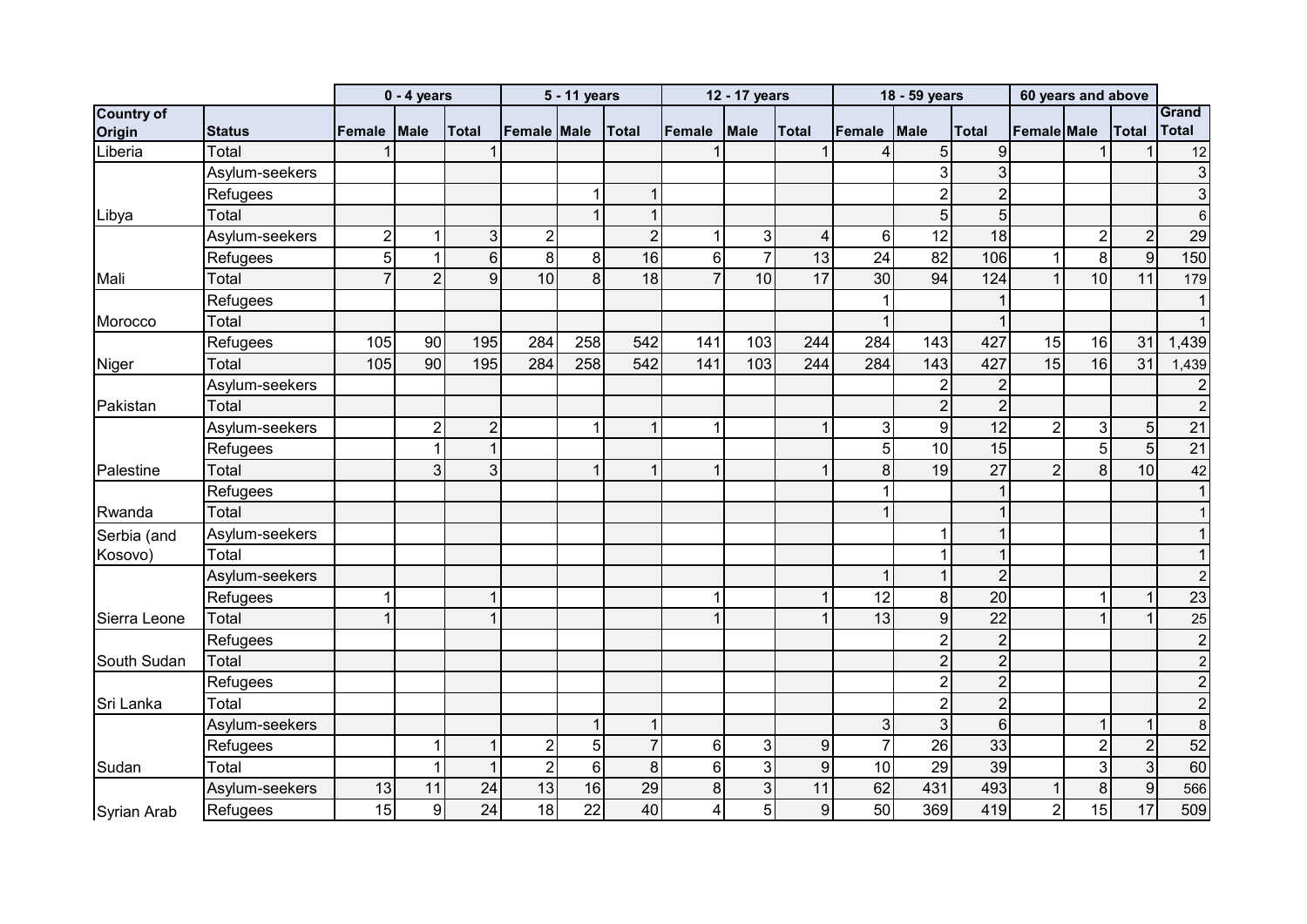|                    |                |                | $0 - 4$ years  |                |                | 5 - 11 years   |                |                 | 12 - 17 years  |                  |                | 18 - 59 years  |                | 60 years and above |                |                 |                  |
|--------------------|----------------|----------------|----------------|----------------|----------------|----------------|----------------|-----------------|----------------|------------------|----------------|----------------|----------------|--------------------|----------------|-----------------|------------------|
| <b>Country of</b>  |                |                |                |                |                |                |                |                 |                |                  |                |                |                |                    |                |                 | Grand            |
| Origin             | <b>Status</b>  | Female         | <b>Male</b>    | <b>Total</b>   | Female Male    |                | <b>Total</b>   | <b>Female</b>   | <b>Male</b>    | <b>Total</b>     | Female         | Male           | <b>Total</b>   | Female Male        |                | <b>Total</b>    | <b>Total</b>     |
| Liberia            | Total          |                |                |                |                |                |                |                 |                |                  | 4              | 5              | 9              |                    |                |                 | 12               |
|                    | Asylum-seekers |                |                |                |                |                |                |                 |                |                  |                | 3              | 3              |                    |                |                 | $\mathbf{3}$     |
|                    | Refugees       |                |                |                |                |                | 1              |                 |                |                  |                | $\overline{2}$ | $\overline{2}$ |                    |                |                 | $\mathbf{3}$     |
| Libya              | Total          |                |                |                |                |                |                |                 |                |                  |                | 5              | 5              |                    |                |                 | $6 \,$           |
|                    | Asylum-seekers | $\overline{2}$ |                | 3 <sup>1</sup> | $\overline{2}$ |                | $\overline{2}$ |                 | 3              | $\overline{4}$   | 6              | 12             | 18             |                    | $\overline{2}$ | $\overline{2}$  | 29               |
|                    | Refugees       | 5              | 1              | 6 <sup>1</sup> | 8              | 8              | 16             | $6\phantom{1}6$ | $\overline{7}$ | 13               | 24             | 82             | 106            | 1                  | 8              | 9               | 150              |
| Mali               | Total          |                | $\overline{2}$ | 9              | 10             | 8              | 18             | $\overline{7}$  | 10             | 17               | 30             | 94             | 124            | $\mathbf{1}$       | 10             | 11              | 179              |
|                    | Refugees       |                |                |                |                |                |                |                 |                |                  |                |                |                |                    |                |                 | 1                |
| Morocco            | Total          |                |                |                |                |                |                |                 |                |                  |                |                |                |                    |                |                 | 1                |
|                    | Refugees       | 105            | 90             | 195            | 284            | 258            | 542            | 141             | 103            | 244              | 284            | 143            | 427            | 15                 | 16             | 31              | 1,439            |
| Niger              | Total          | 105            | 90             | 195            | 284            | 258            | 542            | 141             | 103            | 244              | 284            | 143            | 427            | $\overline{15}$    | 16             | $\overline{31}$ | 1,439            |
|                    | Asylum-seekers |                |                |                |                |                |                |                 |                |                  |                | $\overline{2}$ | $\overline{2}$ |                    |                |                 | $\mathbf{2}$     |
| Pakistan           | Total          |                |                |                |                |                |                |                 |                |                  |                | $\overline{2}$ | $\overline{2}$ |                    |                |                 | $\overline{2}$   |
|                    | Asylum-seekers |                | $\overline{2}$ | $\overline{2}$ |                | 1              | 1              | 1               |                | 1                | 3              | 9              | 12             | $\overline{2}$     | $\mathbf{3}$   | 5               | 21               |
|                    | Refugees       |                |                | 1              |                |                |                |                 |                |                  | 5              | 10             | 15             |                    | 5              | 5 <sup>1</sup>  | 21               |
| Palestine          | Total          |                | 3              | 3 <sup>1</sup> |                |                | 1              |                 |                |                  | 8              | 19             | 27             | $\boldsymbol{2}$   | 8              | 10              | 42               |
|                    | Refugees       |                |                |                |                |                |                |                 |                |                  |                |                |                |                    |                |                 | 1                |
| Rwanda             | Total          |                |                |                |                |                |                |                 |                |                  |                |                |                |                    |                |                 | 1                |
| Serbia (and        | Asylum-seekers |                |                |                |                |                |                |                 |                |                  |                |                |                |                    |                |                 | 1                |
| Kosovo)            | Total          |                |                |                |                |                |                |                 |                |                  |                |                |                |                    |                |                 | 1                |
|                    | Asylum-seekers |                |                |                |                |                |                |                 |                |                  |                |                | $\overline{2}$ |                    |                |                 | $\mathbf{2}$     |
|                    | Refugees       |                |                |                |                |                |                | ŕ               |                | 1                | 12             | 8              | 20             |                    | 1              |                 | 23               |
| Sierra Leone       | Total          |                |                |                |                |                |                |                 |                | 1                | 13             | 9              | 22             |                    |                |                 | 25               |
|                    | Refugees       |                |                |                |                |                |                |                 |                |                  |                | $\overline{2}$ | $\overline{2}$ |                    |                |                 | $\overline{c}$   |
| South Sudan        | Total          |                |                |                |                |                |                |                 |                |                  |                | $\overline{2}$ | $\overline{2}$ |                    |                |                 | $\mathbf{2}$     |
|                    | Refugees       |                |                |                |                |                |                |                 |                |                  |                | $\overline{2}$ | $\overline{2}$ |                    |                |                 | $\mathbf{2}$     |
| Sri Lanka          | Total          |                |                |                |                |                |                |                 |                |                  |                | $\overline{2}$ | $\overline{2}$ |                    |                |                 | $\mathbf{2}$     |
|                    | Asylum-seekers |                |                |                |                |                | 1              |                 |                |                  | 3              | 3 <sup>1</sup> | $6\phantom{1}$ |                    |                |                 | $\boldsymbol{8}$ |
|                    | Refugees       |                | 1              |                | $\overline{c}$ | 5              | $\overline{7}$ | $6\phantom{1}6$ | 3              | $\boldsymbol{9}$ | $\overline{7}$ | 26             | 33             |                    | $\overline{c}$ | $\overline{2}$  | 52               |
| Sudan              | Total          |                | 1              |                | $\overline{2}$ | $6\phantom{1}$ | 8              | $6\phantom{1}6$ | 3 <sup>1</sup> | $\boldsymbol{9}$ | 10             | 29             | 39             |                    | $\mathbf{3}$   | $\overline{3}$  | 60               |
|                    | Asylum-seekers | 13             | 11             | 24             | 13             | 16             | 29             | 8               | 3              | 11               | 62             | 431            | 493            | $\mathbf{1}$       | 8              | 9               | 566              |
| <b>Syrian Arab</b> | Refugees       | 15             | 9              | 24             | 18             | 22             | 40             | 4               | 5              | $\boldsymbol{9}$ | 50             | 369            | 419            | $\overline{2}$     | 15             | 17              | 509              |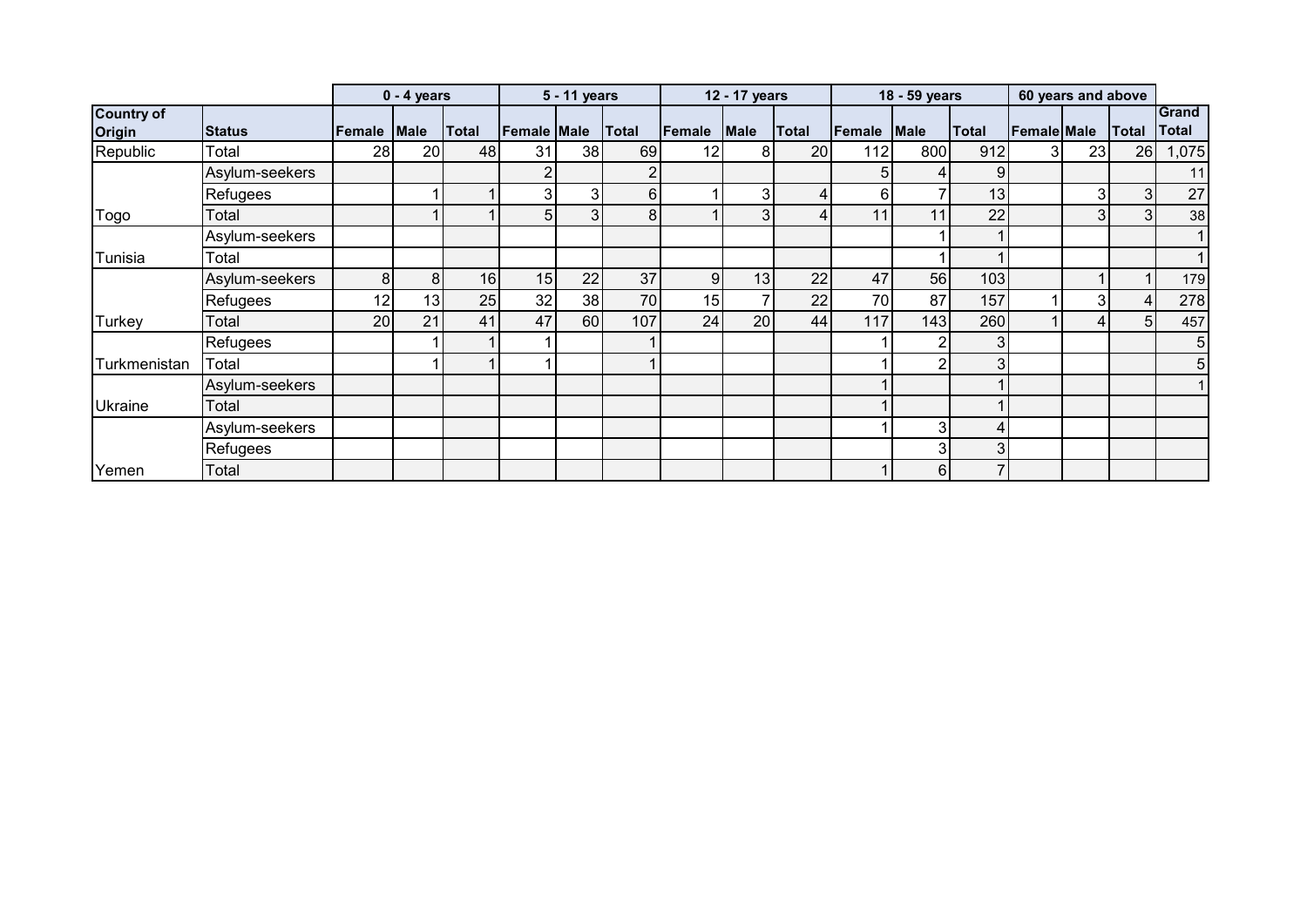|                             |                |        | $0 - 4$ years  |              |                | 5 - 11 years |                |                | 12 - 17 years |       |        | 18 - 59 years  |       |                    | 60 years and above |                |                |
|-----------------------------|----------------|--------|----------------|--------------|----------------|--------------|----------------|----------------|---------------|-------|--------|----------------|-------|--------------------|--------------------|----------------|----------------|
| <b>Country of</b><br>Origin | <b>Status</b>  | Female | <b>Male</b>    | <b>Total</b> | Female Male    |              | Total          | Female         | <b>Male</b>   | Total | Female | <b>Male</b>    | Total | <b>Female Male</b> |                    | Total          | Grand<br>Total |
| Republic                    | Total          | 28     | 20             | 48           | 31             | 38           | 69             | 12             | 8             | 20    | 112    | 800            | 912   | 31                 | 23                 | 26             | 1,075          |
|                             | Asylum-seekers |        |                |              | 2              |              | 2              |                |               |       | 5      | 4              | 9     |                    |                    |                | 11             |
|                             | Refugees       |        |                |              | $\overline{3}$ |              | 6 <sup>1</sup> |                | 3             | 4     | 6      |                | 13    |                    | 3 <sub>l</sub>     | 3 <sup>1</sup> | 27             |
| Togo                        | Total          |        |                |              | 5 <sub>l</sub> | $\Omega$     | 8              |                | 3             | 4     | 11     | 11             | 22    |                    | 3 <sub>l</sub>     | $\mathbf{3}$   | 38             |
|                             | Asylum-seekers |        |                |              |                |              |                |                |               |       |        |                |       |                    |                    |                | 11             |
| Tunisia                     | Total          |        |                |              |                |              |                |                |               |       |        |                |       |                    |                    |                | $\overline{1}$ |
|                             | Asylum-seekers | 8      | 8 <sup>1</sup> | 16           | 15             | 22           | 37             | 9 <sub>l</sub> | 13            | 22    | 47     | 56             | 103   |                    |                    |                | 179            |
|                             | Refugees       | 12     | 13             | 25           | 32             | 38           | 70             | 15             |               | 22    | 70     | 87             | 157   |                    | 3                  | 4              | 278            |
| Turkey                      | Total          | 20     | 21             | 41           | 47             | 60           | 107            | 24             | 20            | 44    | 117    | 143            | 260   |                    | 4                  | 51             | 457            |
|                             | Refugees       |        |                |              |                |              |                |                |               |       |        | 2              |       |                    |                    |                | 5 <sup>1</sup> |
| Turkmenistan                | Total          |        |                |              |                |              |                |                |               |       |        | 2              |       |                    |                    |                | 5 <sub>l</sub> |
|                             | Asylum-seekers |        |                |              |                |              |                |                |               |       |        |                |       |                    |                    |                | 1 <sup>1</sup> |
| <b>Ukraine</b>              | Total          |        |                |              |                |              |                |                |               |       |        |                |       |                    |                    |                |                |
|                             | Asylum-seekers |        |                |              |                |              |                |                |               |       |        | 3              |       |                    |                    |                |                |
|                             | Refugees       |        |                |              |                |              |                |                |               |       |        | 3              |       |                    |                    |                |                |
| Yemen                       | Total          |        |                |              |                |              |                |                |               |       |        | 6 <sub>l</sub> |       |                    |                    |                |                |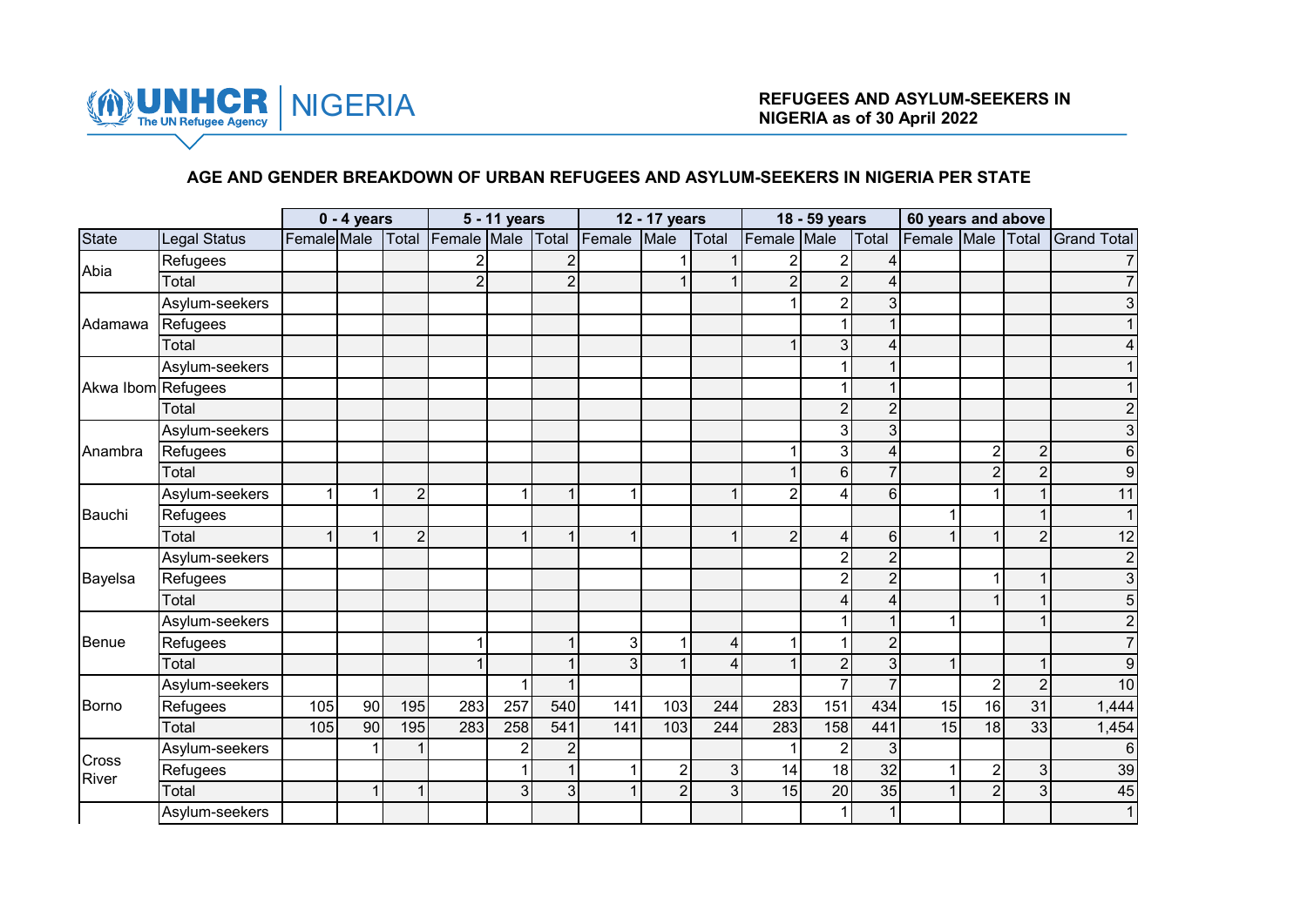

# **AGE AND GENDER BREAKDOWN OF URBAN REFUGEES AND ASYLUM-SEEKERS IN NIGERIA PER STATE**

|                    |                     |             | $0 - 4$ years |                |                | 5 - 11 years   |                |        | 12 - 17 years    |       |                | 18 - 59 years  |                | 60 years and above |                |                |                    |
|--------------------|---------------------|-------------|---------------|----------------|----------------|----------------|----------------|--------|------------------|-------|----------------|----------------|----------------|--------------------|----------------|----------------|--------------------|
| <b>State</b>       | <b>Legal Status</b> | Female Male |               | Total          | Female Male    |                | Total          | Female | Male             | Total | Female Male    |                | Total          | Female Male        |                | Total          | <b>Grand Total</b> |
| Abia               | Refugees            |             |               |                |                |                | $\overline{2}$ |        |                  |       | 2 <sub>1</sub> | 2              |                |                    |                |                |                    |
|                    | Total               |             |               |                | $\overline{2}$ |                | $\overline{2}$ |        | 1                |       | $\overline{2}$ | $\overline{2}$ |                |                    |                |                |                    |
|                    | Asylum-seekers      |             |               |                |                |                |                |        |                  |       |                | $\overline{2}$ | 3              |                    |                |                |                    |
| Adamawa            | Refugees            |             |               |                |                |                |                |        |                  |       |                |                |                |                    |                |                |                    |
|                    | Total               |             |               |                |                |                |                |        |                  |       | $\mathbf 1$    | 3              |                |                    |                |                |                    |
|                    | Asylum-seekers      |             |               |                |                |                |                |        |                  |       |                |                |                |                    |                |                |                    |
| Akwa Ibom Refugees |                     |             |               |                |                |                |                |        |                  |       |                |                |                |                    |                |                |                    |
|                    | Total               |             |               |                |                |                |                |        |                  |       |                | $\overline{2}$ | $\overline{2}$ |                    |                |                |                    |
|                    | Asylum-seekers      |             |               |                |                |                |                |        |                  |       |                | 3              | 3              |                    |                |                | 3                  |
| Anambra            | Refugees            |             |               |                |                |                |                |        |                  |       |                | 3              | 4              |                    | $\overline{2}$ | $\mathbf 2$    | 6                  |
|                    | Total               |             |               |                |                |                |                |        |                  |       |                | 6              | $\overline{7}$ |                    | $\overline{2}$ | $\overline{2}$ | 9                  |
|                    | Asylum-seekers      |             | 1             | $\overline{2}$ |                | 1              | 1              |        |                  |       | $\overline{2}$ | 4              | 6              |                    | 1              | 1              | 11                 |
| Bauchi             | Refugees            |             |               |                |                |                |                |        |                  |       |                |                |                |                    |                |                |                    |
|                    | Total               |             | 1             | $\overline{2}$ |                | $\mathbf{1}$   |                |        |                  |       | $\overline{2}$ | 4              | $6 \mid$       | 1                  |                | $\overline{2}$ | 12                 |
|                    | Asylum-seekers      |             |               |                |                |                |                |        |                  |       |                | 2              | $\overline{2}$ |                    |                |                | $\overline{c}$     |
| Bayelsa            | Refugees            |             |               |                |                |                |                |        |                  |       |                | 2              | $\overline{2}$ |                    |                |                | 3                  |
|                    | Total               |             |               |                |                |                |                |        |                  |       |                |                |                |                    |                | 1              | 5                  |
|                    | Asylum-seekers      |             |               |                |                |                |                |        |                  |       |                |                |                | 1                  |                |                | 2                  |
| Benue              | Refugees            |             |               |                |                |                |                | 3      | $\overline{1}$   | 4     | $\mathbf 1$    |                | $\overline{2}$ |                    |                |                |                    |
|                    | Total               |             |               |                |                |                |                | 3      |                  | 4     |                | $\overline{2}$ | 3              | 1                  |                |                | 9                  |
|                    | Asylum-seekers      |             |               |                |                | 1              |                |        |                  |       |                |                |                |                    | $\overline{2}$ | $\overline{2}$ | 10                 |
| <b>Borno</b>       | Refugees            | 105         | 90            | 195            | 283            | 257            | 540            | 141    | 103              | 244   | 283            | 151            | 434            | 15                 | 16             | 31             | 1,444              |
|                    | Total               | 105         | 90            | 195            | 283            | 258            | 541            | 141    | 103              | 244   | 283            | 158            | 441            | 15                 | 18             | 33             | 1,454              |
| Cross              | Asylum-seekers      |             |               | 4              |                | $\overline{2}$ | $\overline{2}$ |        |                  |       | $\mathbf 1$    | $\overline{2}$ | 3              |                    |                |                | 6                  |
| <b>River</b>       | Refugees            |             |               |                |                |                |                |        | $\boldsymbol{2}$ | 3     | 14             | 18             | 32             | 1                  | $\overline{2}$ | $\overline{3}$ | 39                 |
|                    | Total               |             | 1             | 1              |                | 3              | $\mathbf{3}$   |        | $\overline{2}$   | 3     | 15             | 20             | 35             |                    | $\overline{2}$ | 3 <sup>1</sup> | 45                 |
|                    | Asylum-seekers      |             |               |                |                |                |                |        |                  |       |                | 1              | $\mathbf 1$    |                    |                |                | 1                  |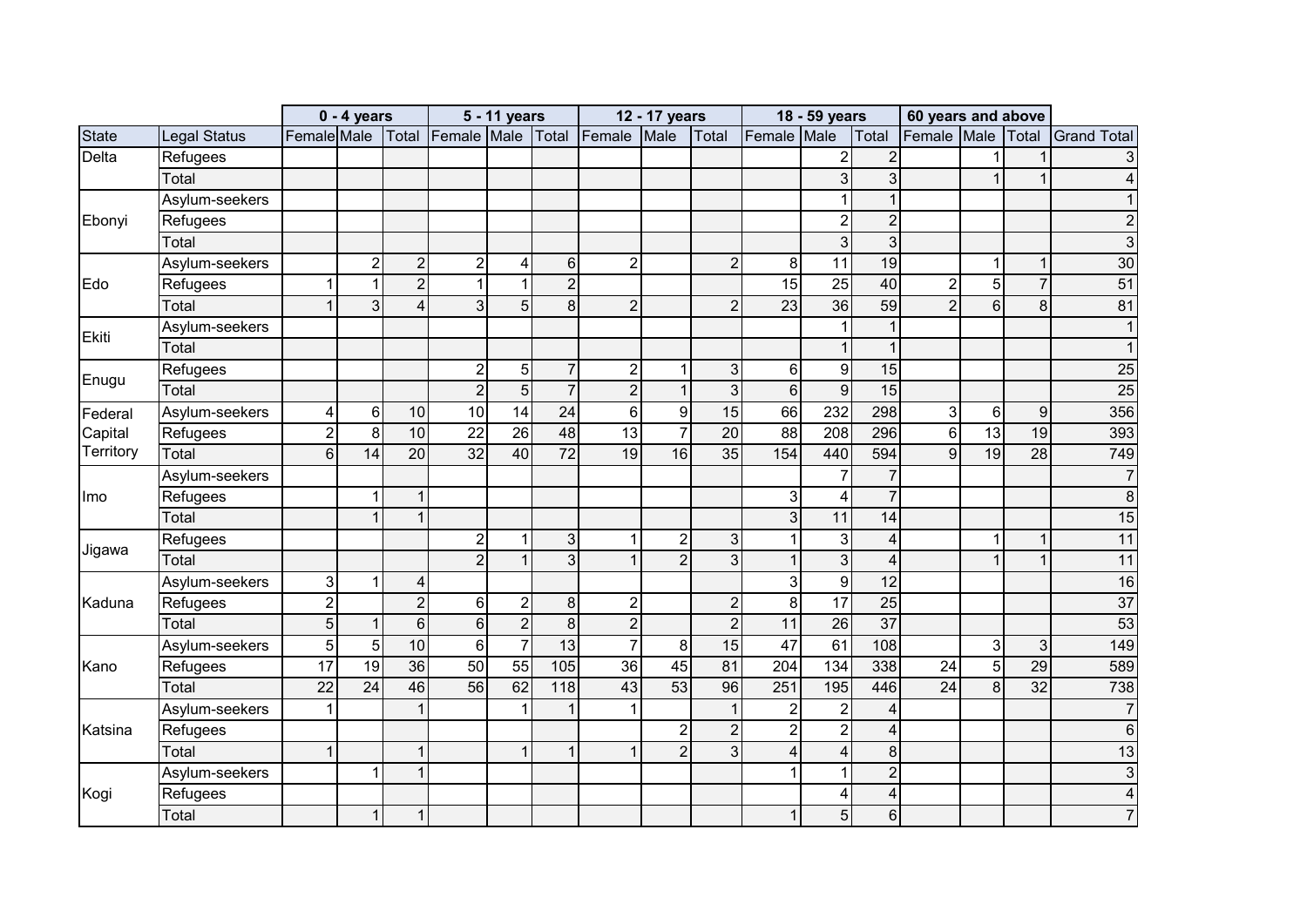|              |                     |                | $0 - 4$ years  |                |                  | 5 - 11 years    |                  |                | 12 - 17 years  |                |                         | 18 - 59 years           |                         | 60 years and above |                 |                  |                    |
|--------------|---------------------|----------------|----------------|----------------|------------------|-----------------|------------------|----------------|----------------|----------------|-------------------------|-------------------------|-------------------------|--------------------|-----------------|------------------|--------------------|
| <b>State</b> | <b>Legal Status</b> | Female Male    |                | Total          | Female Male      |                 | Total            | Female         | Male           | Total          | Female Male             |                         | Total                   | Female Male        |                 | Total            | <b>Grand Total</b> |
| Delta        | Refugees            |                |                |                |                  |                 |                  |                |                |                |                         | $\overline{2}$          | $\overline{2}$          |                    |                 |                  | 3                  |
|              | Total               |                |                |                |                  |                 |                  |                |                |                |                         | $\overline{3}$          | 3                       |                    |                 | 1                | 4                  |
|              | Asylum-seekers      |                |                |                |                  |                 |                  |                |                |                |                         | $\mathbf{1}$            | $\mathbf 1$             |                    |                 |                  |                    |
| Ebonyi       | Refugees            |                |                |                |                  |                 |                  |                |                |                |                         | $\overline{c}$          | $\overline{2}$          |                    |                 |                  |                    |
|              | Total               |                |                |                |                  |                 |                  |                |                |                |                         | 3                       | $\mathbf{3}$            |                    |                 |                  | 3                  |
|              | Asylum-seekers      |                | $\overline{c}$ | $\overline{2}$ | $\overline{c}$   | 4               | $6 \overline{6}$ | $\overline{2}$ |                | $\overline{2}$ | 8                       | 11                      | 19                      |                    | 1               | $\mathbf{1}$     | 30                 |
| Edo          | Refugees            |                | $\mathbf 1$    | $\overline{2}$ | $\mathbf{1}$     | 1               | $\overline{2}$   |                |                |                | $\overline{15}$         | 25                      | 40                      | $\overline{2}$     | 5               | $\overline{7}$   | $\overline{51}$    |
|              | Total               |                | 3              | $\overline{4}$ | $\mathbf{3}$     | 5               | 8                | $\overline{2}$ |                | $\overline{2}$ | 23                      | 36                      | 59                      | $\overline{2}$     | 6               | 8                | 81                 |
| Ekiti        | Asylum-seekers      |                |                |                |                  |                 |                  |                |                |                |                         | 1                       |                         |                    |                 |                  |                    |
|              | Total               |                |                |                |                  |                 |                  |                |                |                |                         | $\mathbf{1}$            |                         |                    |                 |                  |                    |
| Enugu        | Refugees            |                |                |                | $\overline{c}$   | 5 <sup>1</sup>  | 7                | $\overline{2}$ | 1              | $\overline{3}$ | 6                       | $\boldsymbol{9}$        | 15                      |                    |                 |                  | 25                 |
|              | Total               |                |                |                | $\overline{2}$   | $\overline{5}$  | $\overline{7}$   | $\overline{2}$ | $\overline{1}$ | $\overline{3}$ | $6\phantom{1}$          | $\overline{9}$          | 15                      |                    |                 |                  | $\overline{25}$    |
| Federal      | Asylum-seekers      | 4              | 6              | 10             | $\overline{10}$  | $\overline{14}$ | 24               | 6              | 9              | 15             | 66                      | 232                     | 298                     | 3                  | $6\phantom{1}6$ | $\boldsymbol{9}$ | 356                |
| Capital      | Refugees            | $\overline{2}$ | 8              | 10             | 22               | 26              | 48               | 13             | $\overline{7}$ | 20             | 88                      | 208                     | 296                     | $6\phantom{1}$     | 13              | 19               | 393                |
| Territory    | Total               | 6              | 14             | 20             | 32               | 40              | $\overline{72}$  | 19             | 16             | 35             | 154                     | 440                     | 594                     | $\overline{9}$     | 19              | $\overline{28}$  | 749                |
|              | Asylum-seekers      |                |                |                |                  |                 |                  |                |                |                |                         | $\overline{7}$          | $\overline{7}$          |                    |                 |                  | $\overline{7}$     |
| Imo          | Refugees            |                | 1              | $\overline{1}$ |                  |                 |                  |                |                |                | 3                       | 4                       | $\overline{7}$          |                    |                 |                  | 8                  |
|              | Total               |                |                | $\mathbf{1}$   |                  |                 |                  |                |                |                | $\mathfrak{S}$          | 11                      | 14                      |                    |                 |                  | 15                 |
| Jigawa       | Refugees            |                |                |                | $\boldsymbol{2}$ | 1               | 3                |                | $\overline{2}$ | 3 <sup>1</sup> | $\mathbf 1$             | $\sqrt{3}$              | $\overline{\mathbf{4}}$ |                    | 1               | 1                | 11                 |
|              | Total               |                |                |                | $\overline{2}$   | $\mathbf{1}$    | 3                |                | $\overline{2}$ | 3 <sup>1</sup> | $\mathbf{1}$            | $\overline{3}$          | $\overline{\mathbf{4}}$ |                    |                 | $\mathbf 1$      | 11                 |
|              | Asylum-seekers      | 3              | 1              | 4              |                  |                 |                  |                |                |                | $\overline{3}$          | $\overline{9}$          | 12                      |                    |                 |                  | 16                 |
| Kaduna       | Refugees            | $\overline{c}$ |                | $\overline{2}$ | $6 \,$           | $\overline{c}$  | 8                | $\overline{2}$ |                | $\overline{2}$ | 8                       | 17                      | 25                      |                    |                 |                  | 37                 |
|              | Total               | 5              |                | 6 <sup>1</sup> | $\,$ 6 $\,$      | $\overline{2}$  | 8                | $\overline{2}$ |                | $\overline{2}$ | 11                      | $\overline{26}$         | $\overline{37}$         |                    |                 |                  | 53                 |
|              | Asylum-seekers      | 5              | 5              | 10             | $\,6\,$          | $\overline{7}$  | $\overline{13}$  | $\overline{7}$ | $\, 8$         | 15             | $\overline{47}$         | 61                      | 108                     |                    | 3               | $\mathbf{3}$     | 149                |
| Kano         | Refugees            | 17             | 19             | 36             | 50               | 55              | 105              | 36             | 45             | 81             | 204                     | 134                     | 338                     | 24                 | 5               | 29               | 589                |
|              | Total               | 22             | 24             | 46             | $\overline{56}$  | 62              | 118              | 43             | 53             | 96             | 251                     | 195                     | 446                     | $\overline{24}$    | 8               | 32               | 738                |
|              | Asylum-seekers      |                |                | 1              |                  | 1               |                  |                |                | 1              | $\overline{2}$          | $\overline{\mathbf{c}}$ | $\overline{\mathbf{4}}$ |                    |                 |                  | $\overline{7}$     |
| Katsina      | Refugees            |                |                |                |                  |                 |                  |                | $\overline{2}$ | $\overline{2}$ | $\overline{2}$          | $\overline{2}$          | $\overline{4}$          |                    |                 |                  | 6                  |
|              | Total               |                |                | $\overline{1}$ |                  | 1               |                  |                | $\overline{2}$ | $\overline{3}$ | $\overline{\mathbf{4}}$ | 4                       | 8                       |                    |                 |                  | 13                 |
|              | Asylum-seekers      |                |                | 1              |                  |                 |                  |                |                |                | 1                       | $\mathbf{1}$            | $\overline{2}$          |                    |                 |                  | 3                  |
| Kogi         | Refugees            |                |                |                |                  |                 |                  |                |                |                |                         | 4                       | $\overline{\mathbf{4}}$ |                    |                 |                  | 4                  |
|              | Total               |                | $\mathbf{1}$   | $\mathbf{1}$   |                  |                 |                  |                |                |                | $\mathbf{1}$            | 5                       | $6\overline{6}$         |                    |                 |                  | $\overline{7}$     |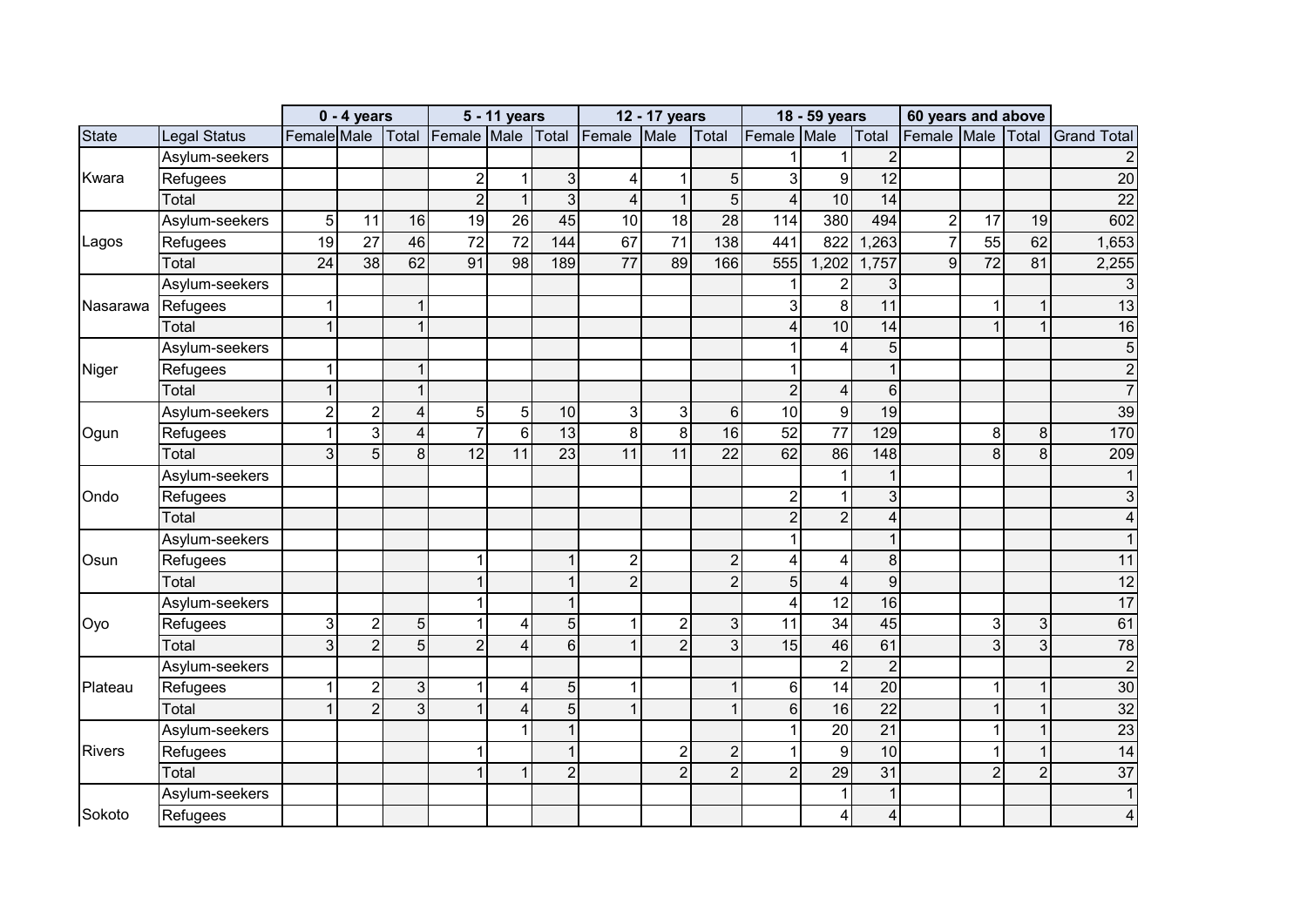|               |                     |                | $0 - 4$ years   |                |                   | 5 - 11 years    |                  |                  | 12 - 17 years   |                 |                         | 18 - 59 years    |                         | 60 years and above |                 |                |                    |
|---------------|---------------------|----------------|-----------------|----------------|-------------------|-----------------|------------------|------------------|-----------------|-----------------|-------------------------|------------------|-------------------------|--------------------|-----------------|----------------|--------------------|
| <b>State</b>  | <b>Legal Status</b> | Female Male    |                 |                | Total Female Male |                 | Total            | Female           | Male            | Total           | Female Male             |                  | Total                   | Female Male        |                 | Total          | <b>Grand Total</b> |
|               | Asylum-seekers      |                |                 |                |                   |                 |                  |                  |                 |                 |                         |                  | $\overline{2}$          |                    |                 |                | $\overline{c}$     |
| Kwara         | Refugees            |                |                 |                | $\boldsymbol{2}$  | 1               | 3                | 4                | 1               | 5 <sup>1</sup>  | 3                       | $\overline{9}$   | $\overline{12}$         |                    |                 |                | $\overline{20}$    |
|               | Total               |                |                 |                | $\overline{2}$    | $\mathbf{1}$    | $\mathbf{3}$     | $\boldsymbol{4}$ | $\overline{1}$  | 5 <sup>1</sup>  | $\overline{4}$          | 10               | 14                      |                    |                 |                | 22                 |
|               | Asylum-seekers      | $\overline{5}$ | 11              | 16             | 19                | 26              | 45               | 10               | 18              | 28              | 114                     | 380              | 494                     | $\mathbf 2$        | 17              | 19             | 602                |
| Lagos         | Refugees            | 19             | $\overline{27}$ | 46             | $\overline{72}$   | $\overline{72}$ | 144              | 67               | $\overline{71}$ | 138             | 441                     | 822              | ,263                    | $\overline{7}$     | $\overline{55}$ | 62             | 1,653              |
|               | Total               | 24             | 38              | 62             | 91                | 98              | 189              | 77               | 89              | 166             | 555                     | ,202<br>1        | 1,757                   | 9                  | 72              | 81             | 2,255              |
|               | Asylum-seekers      |                |                 |                |                   |                 |                  |                  |                 |                 | 1                       | $\overline{c}$   | 3                       |                    |                 |                | 3                  |
| Nasarawa      | Refugees            |                |                 | 1              |                   |                 |                  |                  |                 |                 | 3                       | 8                | $\overline{11}$         |                    |                 | 1              | 13                 |
|               | Total               | $\overline{1}$ |                 | $\mathbf{1}$   |                   |                 |                  |                  |                 |                 | $\overline{\mathbf{4}}$ | 10               | 14                      |                    | 4               | $\mathbf{1}$   | 16                 |
|               | Asylum-seekers      |                |                 |                |                   |                 |                  |                  |                 |                 |                         | 4                | $5\overline{)}$         |                    |                 |                | 5                  |
| Niger         | Refugees            | 1              |                 | 1              |                   |                 |                  |                  |                 |                 | 1                       |                  | $\mathbf 1$             |                    |                 |                | $\overline{c}$     |
|               | Total               | 1              |                 | $\mathbf{1}$   |                   |                 |                  |                  |                 |                 | $\overline{2}$          | 4                | $6\phantom{1}$          |                    |                 |                | $\overline{7}$     |
|               | Asylum-seekers      | $\overline{c}$ | $\overline{c}$  | $\overline{4}$ | $\overline{5}$    | 5               | 10               | 3                | 3               | 6 <sup>1</sup>  | 10                      | $\overline{9}$   | 19                      |                    |                 |                | 39                 |
| Ogun          | Refugees            |                | $\overline{3}$  | $\overline{4}$ | $\overline{7}$    | $6\phantom{1}$  | 13               | 8                | 8               | 16              | 52                      | 77               | 129                     |                    | 8               | 8              | 170                |
|               | Total               | 3              | 5               | 8 <sup>1</sup> | $\overline{12}$   | 11              | $\overline{23}$  | 11               | 11              | $\overline{22}$ | 62                      | 86               | 148                     |                    | 8               | 8              | 209                |
|               | Asylum-seekers      |                |                 |                |                   |                 |                  |                  |                 |                 |                         | 1                | $\overline{1}$          |                    |                 |                | $\mathbf{1}$       |
| Ondo          | Refugees            |                |                 |                |                   |                 |                  |                  |                 |                 | $\overline{2}$          | 1                | 3                       |                    |                 |                | 3                  |
|               | Total               |                |                 |                |                   |                 |                  |                  |                 |                 | $\overline{2}$          | $\overline{c}$   | 4                       |                    |                 |                | 4                  |
|               | Asylum-seekers      |                |                 |                |                   |                 |                  |                  |                 |                 | $\mathbf 1$             |                  |                         |                    |                 |                |                    |
| Osun          | Refugees            |                |                 |                | 1                 |                 |                  | $\overline{2}$   |                 | $\overline{2}$  | $\overline{\mathbf{4}}$ | 4                | $\, 8$                  |                    |                 |                | 11                 |
|               | Total               |                |                 |                | $\mathbf{1}$      |                 |                  | $\overline{2}$   |                 | $\overline{2}$  | $\overline{5}$          | $\overline{4}$   | $\overline{9}$          |                    |                 |                | $\overline{12}$    |
|               | Asylum-seekers      |                |                 |                | $\mathbf{1}$      |                 |                  |                  |                 |                 | 4                       | 12               | 16                      |                    |                 |                | 17                 |
| Oyo           | Refugees            | 3              | $\overline{c}$  | 5 <sup>1</sup> | $\mathbf{1}$      | 4               | 5                |                  | $\overline{2}$  | 3 <sup>1</sup>  | 11                      | 34               | 45                      |                    | 3               | 3              | 61                 |
|               | Total               | 3              | $\overline{2}$  | $\overline{5}$ | $\overline{2}$    | $\overline{4}$  | $6 \overline{6}$ |                  | $\overline{2}$  | $\overline{3}$  | 15                      | 46               | 61                      |                    | 3               | 3              | 78                 |
|               | Asylum-seekers      |                |                 |                |                   |                 |                  |                  |                 |                 |                         | $\overline{2}$   | $\overline{c}$          |                    |                 |                | $\overline{2}$     |
| Plateau       | Refugees            |                | $\overline{c}$  | $\mathbf{3}$   | $\mathbf{1}$      | 4               | 5                |                  |                 | $\mathbf{1}$    | $\,6\,$                 | 14               | $\overline{20}$         |                    | 4               | 1              | 30                 |
|               | Total               |                | $\overline{2}$  | 3 <sup>1</sup> | $\mathbf{1}$      | 4               | 5                |                  |                 | $\mathbf{1}$    | $6\phantom{1}$          | 16               | $\overline{22}$         |                    | 1               | 1              | 32                 |
|               | Asylum-seekers      |                |                 |                |                   |                 |                  |                  |                 |                 | $\mathbf{1}$            | $\overline{20}$  | $\overline{21}$         |                    |                 | 1              | 23                 |
| <b>Rivers</b> | Refugees            |                |                 |                | 1                 |                 |                  |                  | $\overline{2}$  | $\overline{2}$  | $\overline{1}$          | $\boldsymbol{9}$ | 10                      |                    |                 | $\mathbf 1$    | 14                 |
|               | Total               |                |                 |                | $\mathbf{1}$      | $\mathbf 1$     | $\overline{2}$   |                  | $\overline{2}$  | $\overline{2}$  | $\overline{2}$          | 29               | 31                      |                    | $\overline{2}$  | $\overline{2}$ | 37                 |
|               | Asylum-seekers      |                |                 |                |                   |                 |                  |                  |                 |                 |                         | 1                | $\mathbf{1}$            |                    |                 |                | $\mathbf{1}$       |
| Sokoto        | Refugees            |                |                 |                |                   |                 |                  |                  |                 |                 |                         | 4                | $\overline{\mathbf{4}}$ |                    |                 |                | 4                  |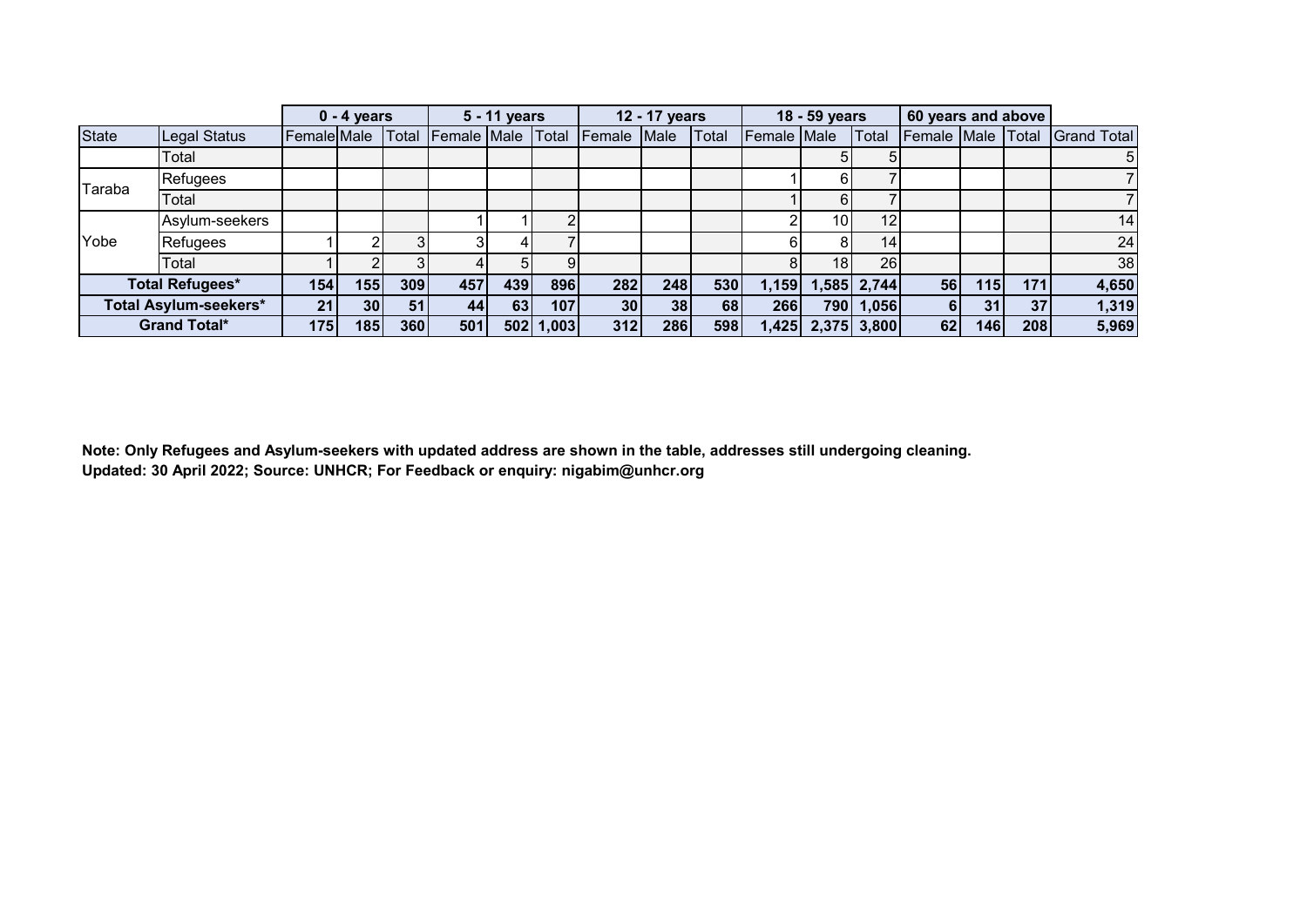|        |                        |                  | $0 - 4$ years   |       |                    | 5 - 11 years |       |        | 12 - 17 years |       |                    | 18 - 59 years   |             | 60 years and above |                 |     |                    |
|--------|------------------------|------------------|-----------------|-------|--------------------|--------------|-------|--------|---------------|-------|--------------------|-----------------|-------------|--------------------|-----------------|-----|--------------------|
| State  | Legal Status           | Female Male      |                 | Total | <b>Female Male</b> |              | Total | Female | Male          | Total | <b>Female</b> Male |                 | Total       | Female Male Total  |                 |     | <b>Grand Total</b> |
|        | Total                  |                  |                 |       |                    |              |       |        |               |       |                    |                 |             |                    |                 |     | $5\overline{)}$    |
| Taraba | Refugees               |                  |                 |       |                    |              |       |        |               |       |                    |                 |             |                    |                 |     |                    |
|        | Total                  |                  |                 |       |                    |              |       |        |               |       |                    |                 |             |                    |                 |     |                    |
|        | Asylum-seekers         |                  |                 |       |                    |              |       |        |               |       |                    | 10 <sup>1</sup> | 12          |                    |                 |     | 14                 |
| Yobe   | Refugees               |                  |                 |       |                    |              |       |        |               |       | 6                  |                 | 14          |                    |                 |     | 24                 |
|        | Total                  |                  |                 |       |                    | 51           |       |        |               |       | 8                  | 18 <sup>1</sup> | 26          |                    |                 |     | 38                 |
|        | <b>Total Refugees*</b> | 154 <sub>1</sub> | 155             | 309   | 457                | 439          | 896   | 282    | 248           | 530   | l,159              |                 | 1,585 2,744 | 56                 | 115             | 171 | 4,650              |
|        | Total Asylum-seekers*  | 21               | 30 <sup>1</sup> | 51    | 44                 | 63           | 107   | 30     | 38            | 68    | 266                |                 | 790 1,056   | 61                 | 31 <sup>1</sup> | 37  | 1,319              |
|        | <b>Grand Total*</b>    | 175              | 185             | 360   | 501                | 502          | 1,003 | 312    | 286           | 598   | ,425               |                 | 2,375 3,800 | 62                 | 146             | 208 | 5,969              |

**Note: Only Refugees and Asylum-seekers with updated address are shown in the table, addresses still undergoing cleaning. Updated: 30 April 2022; Source: UNHCR; For Feedback or enquiry: nigabim@unhcr.org**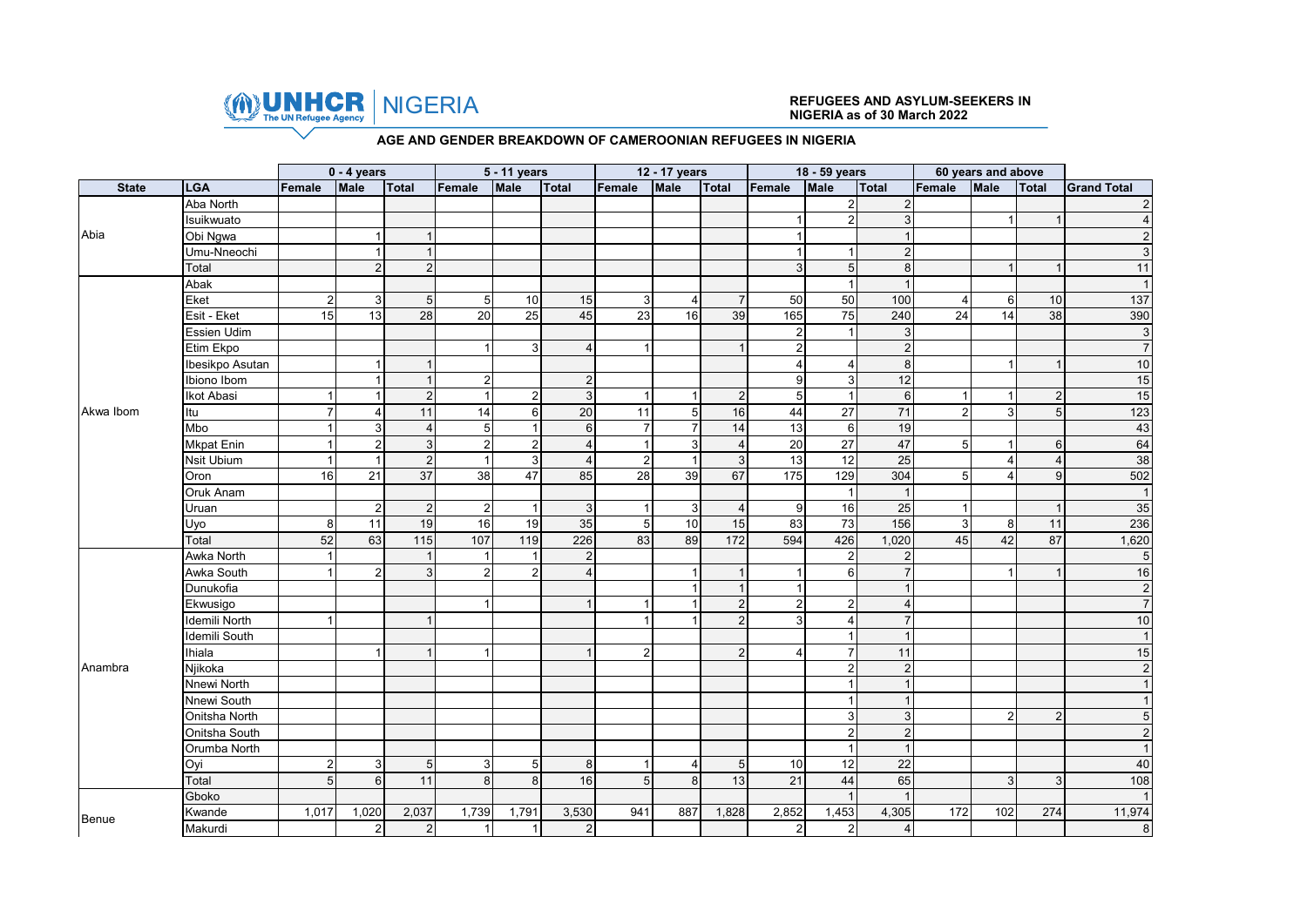

# NIGERIA **REFUGEES AND ASYLUM-SEEKERS IN NIGERIA as of 30 March 2022**

#### **AGE AND GENDER BREAKDOWN OF CAMEROONIAN REFUGEES IN NIGERIA**

|              |                   |               | $0 - 4$ years  |                 |                   | 5 - 11 years     |                 |                 | 12 - 17 years  |                |                 | 18 - 59 years   |                |                | 60 years and above |                |                    |
|--------------|-------------------|---------------|----------------|-----------------|-------------------|------------------|-----------------|-----------------|----------------|----------------|-----------------|-----------------|----------------|----------------|--------------------|----------------|--------------------|
| <b>State</b> | LGA               | Female        | Male           | Total           | Female            | Male             | Total           | Female          | Male           | Total          | Female          | Male            | Total          | Female         | <b>Male</b>        | <b>Total</b>   | <b>Grand Total</b> |
|              | Aba North         |               |                |                 |                   |                  |                 |                 |                |                |                 | $\overline{2}$  | $\overline{2}$ |                |                    |                | $\overline{2}$     |
|              | Isuikwuato        |               |                |                 |                   |                  |                 |                 |                |                |                 | $\mathfrak{p}$  | 3              |                |                    |                |                    |
| Abia         | Obi Ngwa          |               |                | $\overline{1}$  |                   |                  |                 |                 |                |                | $\overline{1}$  |                 |                |                |                    |                |                    |
|              | Umu-Nneochi       |               |                | $\overline{1}$  |                   |                  |                 |                 |                |                | $\overline{1}$  |                 | $\overline{2}$ |                |                    |                |                    |
|              | Total             |               | $\overline{2}$ | $\overline{c}$  |                   |                  |                 |                 |                |                | 3 <sup>1</sup>  | 5 <sup>5</sup>  | 8              |                |                    | $\mathbf{1}$   | 11                 |
|              | Abak              |               |                |                 |                   |                  |                 |                 |                |                |                 |                 |                |                |                    |                |                    |
|              | Eket              | 2             | 3              | 5               | $\sqrt{5}$        | 10               | 15              | 3               |                | $\overline{7}$ | 50              | 50              | 100            | $\overline{4}$ | 6                  | $10$           | 137                |
|              | Esit - Eket       | 15            | 13             | $\overline{28}$ | 20                | 25               | 45              | $\overline{23}$ | 16             | 39             | 165             | $\overline{75}$ | 240            | 24             | 14                 | 38             | 390                |
|              | Essien Udim       |               |                |                 |                   |                  |                 |                 |                |                | $\overline{2}$  |                 | 3              |                |                    |                | دى                 |
|              | Etim Ekpo         |               |                |                 | $\overline{1}$    | $\mathbf{3}$     | $\overline{4}$  | $\overline{1}$  |                | $\overline{1}$ | $\mathbf 2$     |                 | $\overline{2}$ |                |                    |                | $\overline{7}$     |
|              | Ibesikpo Asutan   |               |                |                 |                   |                  |                 |                 |                |                | $\overline{4}$  |                 | 8              |                |                    | $\mathbf{1}$   | 10                 |
|              | Ibiono Ibom       |               |                | $\mathbf{1}$    | $\overline{2}$    |                  | $\overline{2}$  |                 |                |                | 9               | 3               | 12             |                |                    |                | 15                 |
|              | Ikot Abasi        |               |                | $\overline{2}$  | $\overline{1}$    | $\overline{2}$   | 3               |                 |                | $\overline{2}$ | 5               |                 | 6              |                |                    | $\overline{2}$ | 15                 |
| Akwa Ibom    | Itu               |               |                | 11              | 14                | $6 \overline{6}$ | 20              | 11              | 5 <sub>l</sub> | 16             | 44              | $\overline{27}$ | 71             | $\overline{2}$ | 3                  | $\sqrt{5}$     | 123                |
|              | Mbo               |               | 3              | $\overline{4}$  | 5                 |                  | $6\phantom{1}6$ | $\overline{7}$  | $\overline{7}$ | 14             | 13              | $6 \,$          | 19             |                |                    |                | 43                 |
|              | <b>Mkpat Enin</b> |               | $\mathbf 2$    | $\overline{3}$  | $\overline{2}$    | $\overline{2}$   | $\overline{4}$  |                 | 3 <sup>1</sup> | $\overline{4}$ | $\overline{20}$ | 27              | 47             | 5              |                    | $6\phantom{1}$ | 64                 |
|              | Nsit Ubium        |               |                | $\overline{2}$  | $\overline{1}$    | 3                | $\overline{4}$  | $\overline{2}$  | $\overline{1}$ | $\mathbf{3}$   | 13              | $\overline{12}$ | 25             |                |                    | $\overline{4}$ | 38                 |
|              | Oron              | 16            | 21             | 37              | 38                | 47               | 85              | 28              | 39             | 67             | 175             | 129             | 304            | 5              |                    | 9              | 502                |
|              | Oruk Anam         |               |                |                 |                   |                  |                 |                 |                |                |                 | -1              |                |                |                    |                | $\overline{1}$     |
|              | Uruan             |               | $\overline{2}$ | $\overline{2}$  | $\overline{2}$    |                  | 3               |                 | 3              | $\overline{4}$ | 9               | 16              | 25             |                |                    | $\overline{1}$ | 35                 |
|              | Uyo               | 8             | 11             | 19              | 16                | 19               | 35              | 5               | 10             | 15             | 83              | 73              | 156            | 3              | 8                  | 11             | 236                |
|              | Total             | 52            | 63             | 115             | $\frac{107}{100}$ | 119              | 226             | 83              | 89             | 172            | 594             | 426             | 1,020          | 45             | 42                 | 87             | 1,620              |
|              | Awka North        |               |                | $\overline{1}$  | $\overline{1}$    |                  | $\overline{2}$  |                 |                |                |                 | $\overline{2}$  | $\overline{2}$ |                |                    |                | $\mathbf 5$        |
|              | Awka South        |               | $\overline{2}$ | 3               | $\overline{2}$    | $\overline{2}$   | $\overline{4}$  |                 | 1              | $\overline{1}$ |                 | $6 \,$          | $\overline{7}$ |                |                    |                | 16                 |
|              | Dunukofia         |               |                |                 |                   |                  |                 |                 |                | $\mathbf{1}$   | $\mathbf{1}$    |                 |                |                |                    |                | $\overline{c}$     |
|              | Ekwusigo          |               |                |                 | $\overline{1}$    |                  |                 |                 |                | $2 \mid$       | $\overline{2}$  | $\overline{2}$  | $\overline{4}$ |                |                    |                | $\overline{7}$     |
|              | Idemili North     |               |                |                 |                   |                  |                 |                 |                | $\overline{2}$ | $\mathbf{3}$    |                 |                |                |                    |                | 10                 |
|              | Idemili South     |               |                |                 |                   |                  |                 |                 |                |                |                 |                 |                |                |                    |                |                    |
|              | Ihiala            |               |                |                 |                   |                  |                 | $\overline{2}$  |                | $\overline{2}$ | $\overline{4}$  |                 | 11             |                |                    |                | 15                 |
| Anambra      | Njikoka           |               |                |                 |                   |                  |                 |                 |                |                |                 | $\overline{2}$  | $\overline{2}$ |                |                    |                | $\overline{c}$     |
|              | Nnewi North       |               |                |                 |                   |                  |                 |                 |                |                |                 |                 |                |                |                    |                |                    |
|              | Nnewi South       |               |                |                 |                   |                  |                 |                 |                |                |                 |                 |                |                |                    |                |                    |
|              | Onitsha North     |               |                |                 |                   |                  |                 |                 |                |                |                 | 3               | 3              |                | 2                  | $\overline{2}$ | 5                  |
|              | Onitsha South     |               |                |                 |                   |                  |                 |                 |                |                |                 | $\overline{2}$  | $\overline{2}$ |                |                    |                | $\overline{2}$     |
|              | Orumba North      |               |                |                 |                   |                  |                 |                 |                |                |                 |                 |                |                |                    |                |                    |
|              | Oyi               | $\mathcal{P}$ | 3              | 5               | 3                 | 5                | 8               |                 |                | 5              | 10              | 12              | 22             |                |                    |                | 40                 |
|              | Total             |               | $6\phantom{1}$ | 11              | 8                 | 8                | 16              | 5               | 8 <sup>1</sup> | 13             | 21              | 44              | 65             |                | 3                  | 3              | 108                |
|              | Gboko             |               |                |                 |                   |                  |                 |                 |                |                |                 |                 |                |                |                    |                |                    |
| Benue        | Kwande            | 1,017         | 1,020          | 2,037           | 1,739             | 1,791            | 3,530           | 941             | 887            | 1,828          | 2,852           | 1,453           | 4,305          | 172            | 102                | 274            | 11,974             |
|              | Makurdi           |               | $\overline{2}$ | $\overline{2}$  | $\overline{1}$    |                  | $\overline{2}$  |                 |                |                | $\mathbf 2$     | $\overline{2}$  | $\overline{4}$ |                |                    |                | $\,8\,$            |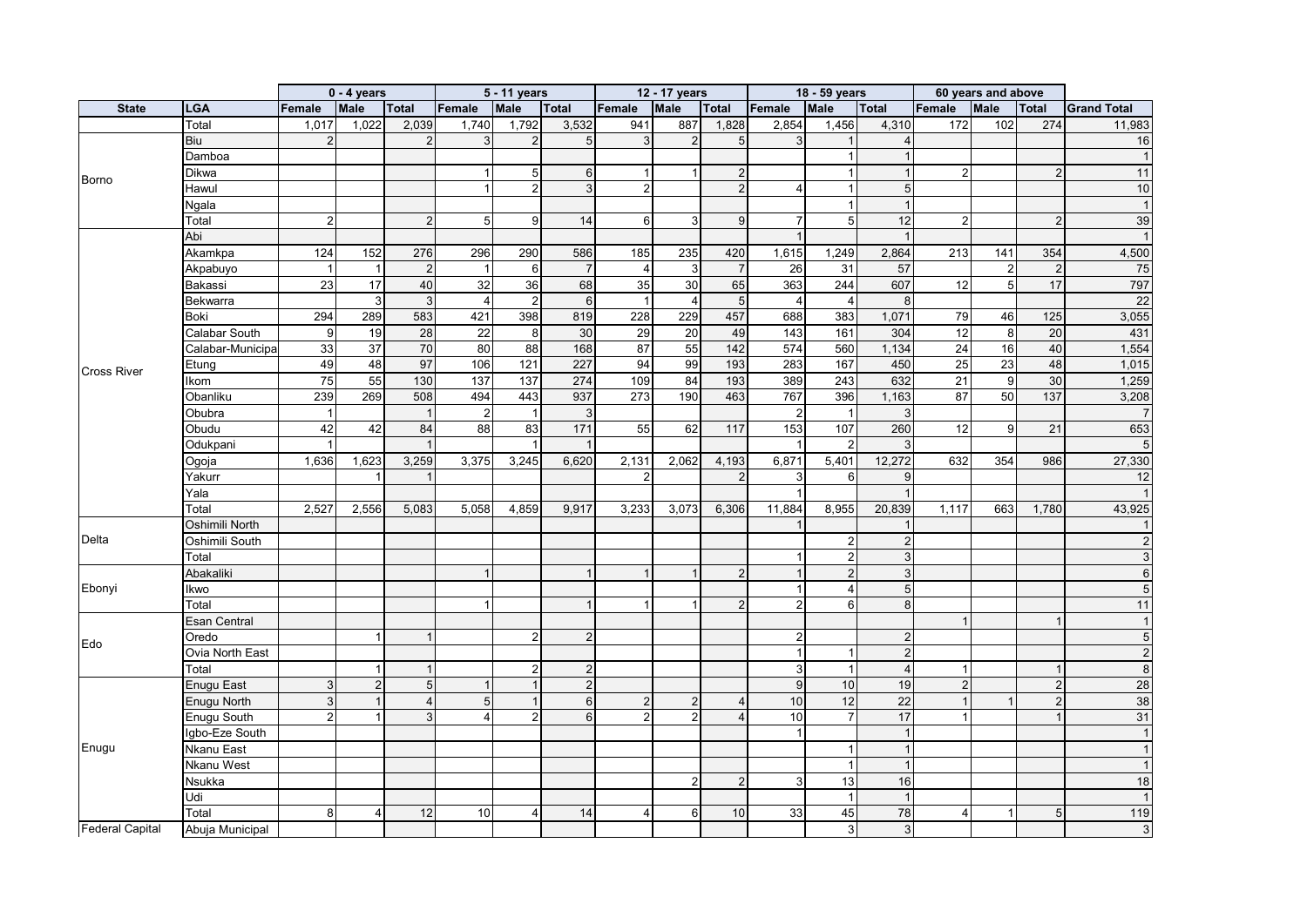|                        |                   |                 | $0 - 4$ years  |                |                         | 5 - 11 years    |                 |                | 12 - 17 years  |                |                | 18 - 59 years           |                          |                | 60 years and above |                  |                    |
|------------------------|-------------------|-----------------|----------------|----------------|-------------------------|-----------------|-----------------|----------------|----------------|----------------|----------------|-------------------------|--------------------------|----------------|--------------------|------------------|--------------------|
| <b>State</b>           | <b>LGA</b>        | Female          | <b>Male</b>    | <b>Total</b>   | Female                  | Male            | Total           | Female         | Male           | <b>Total</b>   | Female         | Male                    | <b>Total</b>             | Female         | <b>Male</b>        | Total            | <b>Grand Total</b> |
|                        | Total             | 1,017           | 1,022          | 2,039          | 1,740                   | 1,792           | 3,532           | 941            | 887            | 1,828          | 2,854          | 1,456                   | 4,310                    | 172            | 102                | 274              | 11,983             |
|                        | <b>Biu</b>        |                 |                | $\overline{2}$ | 3                       | $\overline{2}$  | 5               | 3              | $\overline{2}$ | 5              | 3              |                         | $\boldsymbol{\varDelta}$ |                |                    |                  | 16                 |
|                        | Damboa            |                 |                |                |                         |                 |                 |                |                |                |                |                         |                          |                |                    |                  |                    |
| Borno                  | Dikwa             |                 |                |                | $\overline{1}$          | 5               | 6               |                | $\mathbf{1}$   | 2              |                |                         |                          | $\overline{2}$ |                    | 2                | 11                 |
|                        | Hawul             |                 |                |                | $\overline{1}$          | $\overline{2}$  | 3               | $\overline{2}$ |                | 2              | $\overline{4}$ |                         | 5                        |                |                    |                  | 10                 |
|                        | Ngala             |                 |                |                |                         |                 |                 |                |                |                |                |                         |                          |                |                    |                  |                    |
|                        | Total             | $\mathfrak{p}$  |                | $\overline{2}$ | 5                       | 9               | 14              | 6              | 3              | 9              | $\overline{7}$ | $5\overline{)}$         | 12                       | $\overline{2}$ |                    | 2                | 39                 |
|                        | Abi               |                 |                |                |                         |                 |                 |                |                |                |                |                         |                          |                |                    |                  |                    |
|                        | Akamkpa           | 124             | 152            | 276            | 296                     | 290             | 586             | 185            | 235            | 420            | 1,615          | 1,249                   | 2,864                    | 213            | 141                | 354              | 4,500              |
|                        | Akpabuyo          |                 |                | $\overline{c}$ |                         | 6               |                 | $\overline{4}$ | 3              | $\overline{7}$ | 26             | 31                      | 57                       |                | $\mathfrak{p}$     | $\sqrt{2}$       | 75                 |
|                        | Bakassi           | $\overline{23}$ | 17             | 40             | 32                      | $\overline{36}$ | 68              | 35             | 30             | 65             | 363            | 244                     | 607                      | 12             | 5                  | 17               | 797                |
|                        | Bekwarra          |                 | $\mathbf{3}$   | $\mathbf{3}$   | $\overline{\mathbf{4}}$ | $\overline{2}$  | 6               | $\overline{1}$ | $\overline{4}$ | $\sqrt{5}$     | $\overline{4}$ | $\overline{\mathbf{4}}$ | 8                        |                |                    |                  | 22                 |
|                        | Boki              | 294             | 289            | 583            | 421                     | 398             | 819             | 228            | 229            | 457            | 688            | 383                     | 1,071                    | 79             | 46                 | $\overline{125}$ | 3,055              |
|                        | Calabar South     | 9               | 19             | 28             | 22                      | 8               | 30              | 29             | 20             | 49             | 143            | 161                     | 304                      | 12             | 8                  | 20               | 431                |
|                        | Calabar-Municipa  | 33              | 37             | 70             | 80                      | 88              | 168             | 87             | 55             | 142            | 574            | 560                     | 1,134                    | 24             | 16                 | 40               | 1,554              |
| <b>Cross River</b>     | Etung             | 49              | 48             | 97             | 106                     | 121             | 227             | 94             | 99             | 193            | 283            | 167                     | 450                      | 25             | 23                 | 48               | 1,015              |
|                        | Ikom              | $\overline{75}$ | 55             | 130            | $\overline{137}$        | 137             | 274             | 109            | 84             | 193            | 389            | 243                     | 632                      | 21             | 9                  | 30               | 1,259              |
|                        | Obanliku          | 239             | 269            | 508            | 494                     | 443             | 937             | 273            | 190            | 463            | 767            | 396                     | 1,163                    | 87             | 50                 | 137              | 3,208              |
|                        | Obubra            |                 |                | $\overline{1}$ | $\overline{c}$          | $\mathbf{1}$    | 3               |                |                |                | $\overline{2}$ | - 1                     | 3                        |                |                    |                  | $\overline{7}$     |
|                        | Obudu             | 42              | 42             | 84             | 88                      | 83              | 171             | 55             | 62             | 117            | 153            | 107                     | 260                      | 12             | 9                  | 21               | 653                |
|                        | Odukpani          |                 |                |                |                         |                 |                 |                |                |                |                |                         | 3                        |                |                    |                  | 5                  |
|                        | Ogoja             | 1,636           | 1,623          | 3,259          | 3,375                   | 3,245           | 6,620           | 2,131          | 2,062          | 4,193          | 6,871          | 5,401                   | 12,272                   | 632            | 354                | 986              | 27,330             |
|                        | Yakurr            |                 |                |                |                         |                 |                 |                |                | 2              | 3              | 6                       | 9                        |                |                    |                  | 12                 |
|                        | Yala              |                 |                |                |                         |                 |                 |                |                |                | $\overline{1}$ |                         |                          |                |                    |                  |                    |
|                        | Total             | 2,527           | 2,556          | 5,083          | 5,058                   | 4,859           | 9,917           | 3,233          | 3,073          | 6,306          | 11,884         | 8,955                   | 20,839                   | 1,117          | 663                | 1,780            | 43,925             |
|                        | Oshimili North    |                 |                |                |                         |                 |                 |                |                |                |                |                         |                          |                |                    |                  |                    |
| Delta                  | Oshimili South    |                 |                |                |                         |                 |                 |                |                |                |                |                         | $\overline{2}$           |                |                    |                  |                    |
|                        | Total             |                 |                |                |                         |                 |                 |                |                |                | -1             |                         | 3                        |                |                    |                  |                    |
|                        | Abakaliki         |                 |                |                | $\overline{1}$          |                 |                 |                | $\mathbf{1}$   | 2              | $\mathbf{1}$   |                         | 3                        |                |                    |                  |                    |
| Ebonyi                 | Ikwo              |                 |                |                |                         |                 |                 |                |                |                | -1             |                         | 5                        |                |                    |                  |                    |
|                        | Total             |                 |                |                |                         |                 |                 |                |                | 2              | $\overline{2}$ | 6                       | 8                        |                |                    |                  | 11                 |
|                        | Esan Central      |                 |                |                |                         |                 |                 |                |                |                |                |                         |                          |                |                    |                  |                    |
| Edo                    | Oredo             |                 |                |                |                         | $\overline{2}$  | $\overline{2}$  |                |                |                | $\overline{2}$ |                         | $\overline{2}$           |                |                    |                  | $\sqrt{5}$         |
|                        | Ovia North East   |                 |                |                |                         |                 |                 |                |                |                | $\overline{1}$ | -1                      | $\overline{2}$           |                |                    |                  | $\overline{2}$     |
|                        | Total             |                 |                |                |                         | 2               | $\overline{2}$  |                |                |                | 3              |                         | $\overline{4}$           |                |                    | $\mathbf{1}$     | 8                  |
|                        | <b>Enugu East</b> | 3               | $\overline{2}$ | 5              | $\overline{1}$          | $\mathbf{1}$    | $\overline{2}$  |                |                |                | 9              | 10                      | 19                       | $\overline{2}$ |                    | $\overline{2}$   | 28                 |
|                        | Enugu North       | 3               |                | $\overline{4}$ | 5                       | $\overline{1}$  | $6\phantom{1}6$ | $\overline{2}$ | 2              | 4              | 10             | 12                      | 22                       |                |                    | $\overline{2}$   | 38                 |
|                        | Enugu South       |                 |                | 3              | $\Delta$                | $\overline{2}$  | 6               | $\mathfrak{p}$ |                |                | 10             |                         | 17                       |                |                    |                  | 31                 |
|                        | Igbo-Eze South    |                 |                |                |                         |                 |                 |                |                |                | $\overline{1}$ |                         | $\overline{1}$           |                |                    |                  |                    |
| Enugu                  | Nkanu East        |                 |                |                |                         |                 |                 |                |                |                |                |                         | $\overline{1}$           |                |                    |                  |                    |
|                        | Nkanu West        |                 |                |                |                         |                 |                 |                |                |                |                |                         |                          |                |                    |                  |                    |
|                        | <b>Nsukka</b>     |                 |                |                |                         |                 |                 |                |                | $\overline{2}$ | 3              | 13                      | 16                       |                |                    |                  | 18                 |
|                        | Udi               |                 |                |                |                         |                 |                 |                |                |                |                |                         |                          |                |                    |                  |                    |
|                        | Total             | 8               | $\overline{4}$ | 12             | 10                      | 4               | 14              | 4              | $6 \mid$       | 10             | 33             | 45                      | 78                       | $\overline{4}$ |                    | 5                | 119                |
| <b>Federal Capital</b> | Abuja Municipal   |                 |                |                |                         |                 |                 |                |                |                |                | 3                       | $\mathbf{3}$             |                |                    |                  | $\mathbf{3}$       |